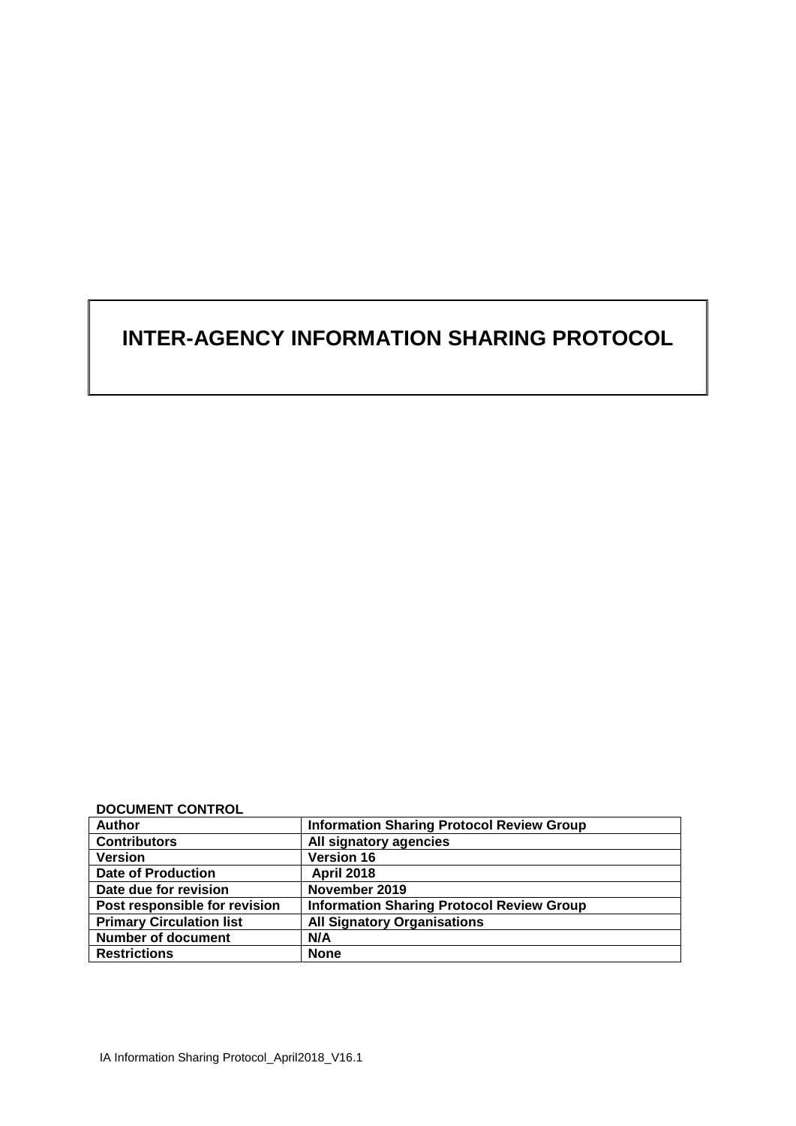# **INTER-AGENCY INFORMATION SHARING PROTOCOL**

**DOCUMENT CONTROL**

| <b>Author</b>                   | <b>Information Sharing Protocol Review Group</b> |
|---------------------------------|--------------------------------------------------|
| <b>Contributors</b>             | All signatory agencies                           |
| <b>Version</b>                  | <b>Version 16</b>                                |
| <b>Date of Production</b>       | <b>April 2018</b>                                |
| Date due for revision           | November 2019                                    |
| Post responsible for revision   | <b>Information Sharing Protocol Review Group</b> |
| <b>Primary Circulation list</b> | <b>All Signatory Organisations</b>               |
| <b>Number of document</b>       | N/A                                              |
| <b>Restrictions</b>             | <b>None</b>                                      |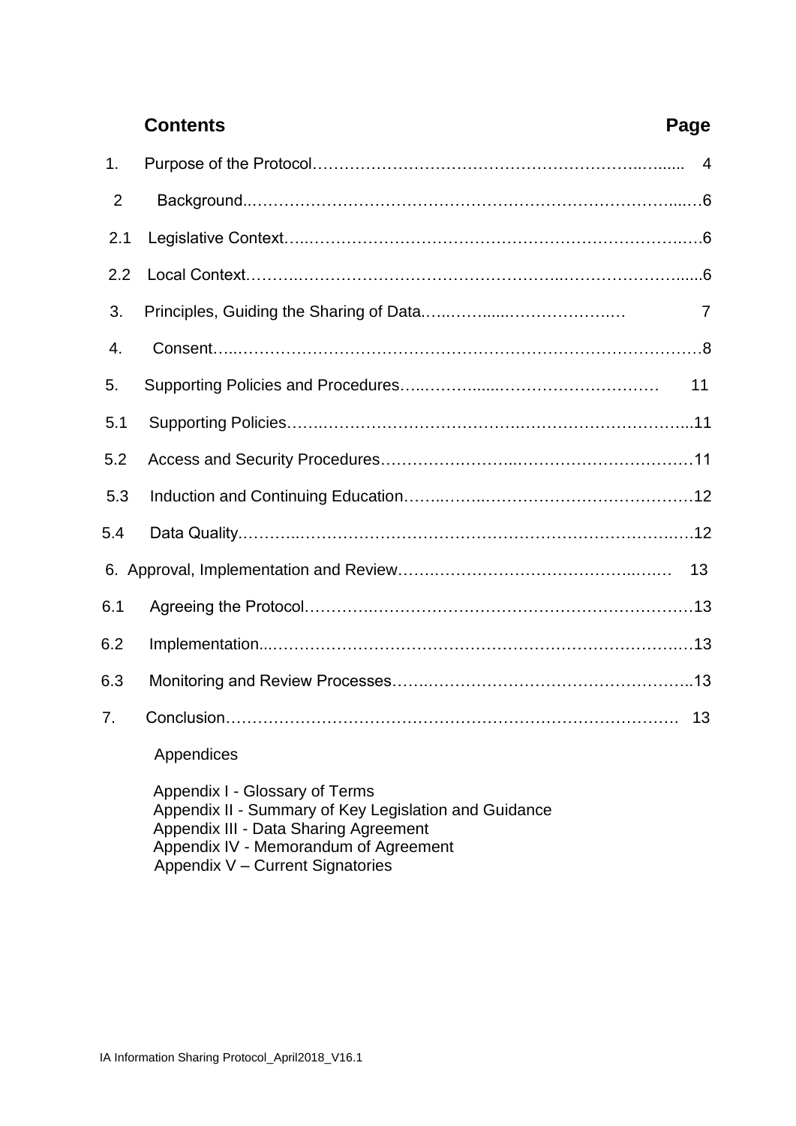|                | <b>Contents</b> | Page           |
|----------------|-----------------|----------------|
| 1.             |                 | $\overline{4}$ |
| $\overline{2}$ |                 |                |
| 2.1            |                 |                |
| 2.2            |                 |                |
| 3.             |                 | 7              |
| 4.             |                 |                |
| 5.             |                 | 11             |
| 5.1            |                 |                |
| 5.2            |                 |                |
| 5.3            |                 |                |
| 5.4            |                 |                |
|                |                 | 13             |
| 6.1            |                 |                |
| 6.2            |                 |                |
| 6.3            |                 |                |
| 7 <sub>1</sub> |                 | 13             |
|                | Appendices      |                |

 Appendix I - Glossary of Terms Appendix II - Summary of Key Legislation and Guidance Appendix III - Data Sharing Agreement Appendix IV - Memorandum of Agreement Appendix V – Current Signatories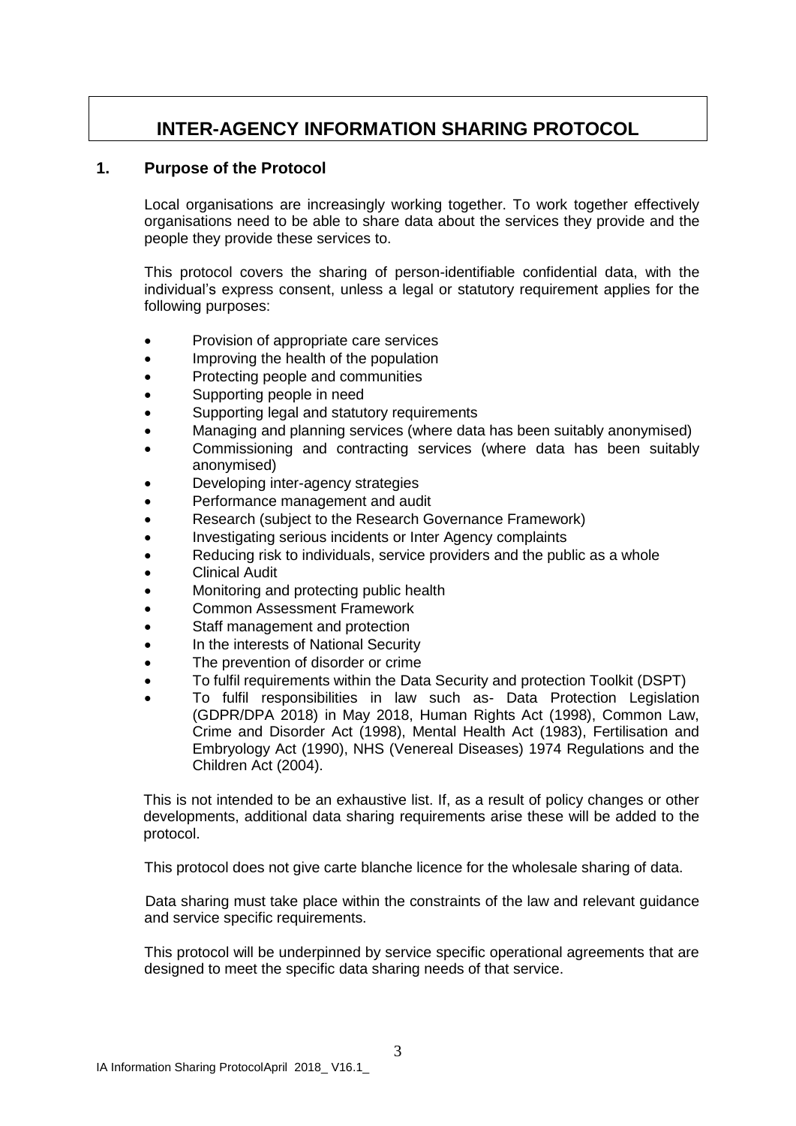## **INTER-AGENCY INFORMATION SHARING PROTOCOL**

#### **1. Purpose of the Protocol**

Local organisations are increasingly working together. To work together effectively organisations need to be able to share data about the services they provide and the people they provide these services to.

This protocol covers the sharing of person-identifiable confidential data, with the individual's express consent, unless a legal or statutory requirement applies for the following purposes:

- Provision of appropriate care services
- Improving the health of the population
- Protecting people and communities
- Supporting people in need
- Supporting legal and statutory requirements
- Managing and planning services (where data has been suitably anonymised)
- Commissioning and contracting services (where data has been suitably anonymised)
- Developing inter-agency strategies
- Performance management and audit
- Research (subject to the Research Governance Framework)
- Investigating serious incidents or Inter Agency complaints
- Reducing risk to individuals, service providers and the public as a whole
- Clinical Audit
- Monitoring and protecting public health
- Common Assessment Framework
- Staff management and protection
- In the interests of National Security
- The prevention of disorder or crime
- To fulfil requirements within the Data Security and protection Toolkit (DSPT)
- To fulfil responsibilities in law such as- Data Protection Legislation (GDPR/DPA 2018) in May 2018, Human Rights Act (1998), Common Law, Crime and Disorder Act (1998), Mental Health Act (1983), Fertilisation and Embryology Act (1990), NHS (Venereal Diseases) 1974 Regulations and the Children Act (2004).

This is not intended to be an exhaustive list. If, as a result of policy changes or other developments, additional data sharing requirements arise these will be added to the protocol.

This protocol does not give carte blanche licence for the wholesale sharing of data.

 Data sharing must take place within the constraints of the law and relevant guidance and service specific requirements.

This protocol will be underpinned by service specific operational agreements that are designed to meet the specific data sharing needs of that service.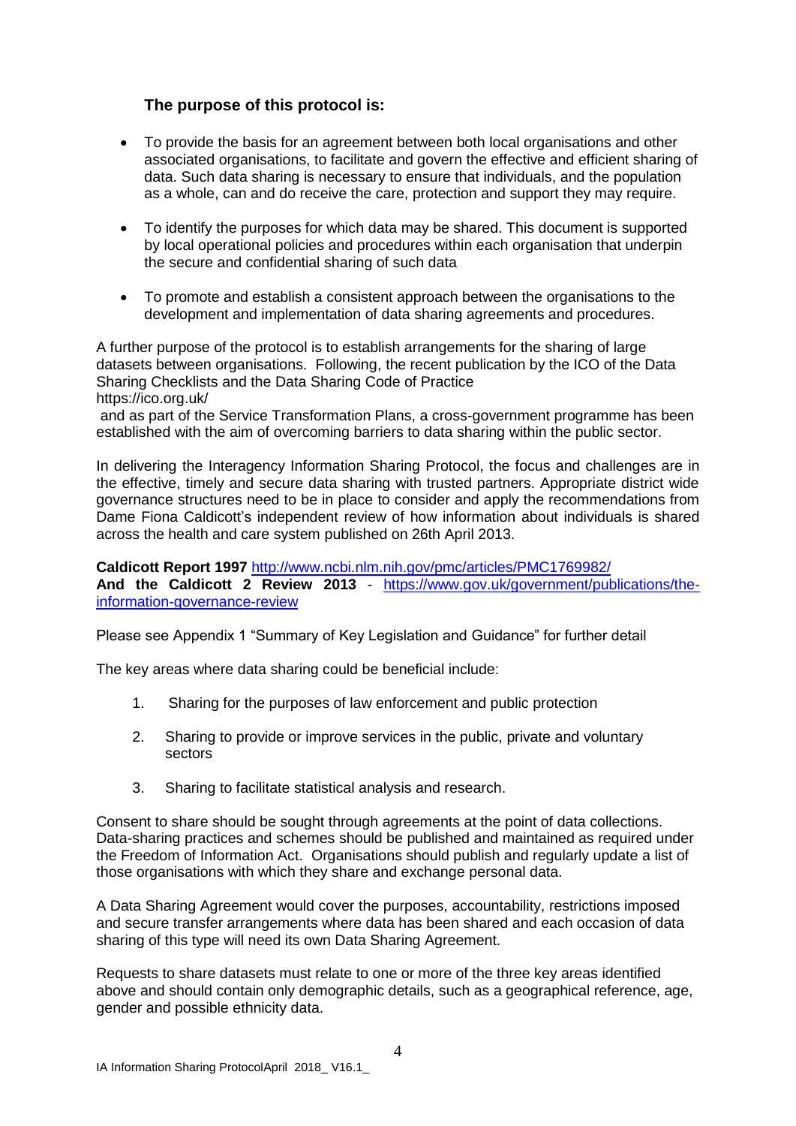#### **The purpose of this protocol is:**

- To provide the basis for an agreement between both local organisations and other associated organisations, to facilitate and govern the effective and efficient sharing of data. Such data sharing is necessary to ensure that individuals, and the population as a whole, can and do receive the care, protection and support they may require.
- To identify the purposes for which data may be shared. This document is supported by local operational policies and procedures within each organisation that underpin the secure and confidential sharing of such data
- To promote and establish a consistent approach between the organisations to the development and implementation of data sharing agreements and procedures.

A further purpose of the protocol is to establish arrangements for the sharing of large datasets between organisations. Following, the recent publication by the ICO of the Data Sharing Checklists and the Data Sharing Code of Practice https://ico.org.uk/

and as part of the Service Transformation Plans, a cross-government programme has been established with the aim of overcoming barriers to data sharing within the public sector.

In delivering the Interagency Information Sharing Protocol, the focus and challenges are in the effective, timely and secure data sharing with trusted partners. Appropriate district wide governance structures need to be in place to consider and apply the recommendations from Dame Fiona Caldicott's independent review of how information about individuals is shared across the health and care system published on 26th April 2013.

**Caldicott Report 1997** <http://www.ncbi.nlm.nih.gov/pmc/articles/PMC1769982/> **And the Caldicott 2 Review 2013** - [https://www.gov.uk/government/publications/the](https://www.gov.uk/government/publications/the-information-governance-review)[information-governance-review](https://www.gov.uk/government/publications/the-information-governance-review)

Please see Appendix 1 "Summary of Key Legislation and Guidance" for further detail

The key areas where data sharing could be beneficial include:

- 1. Sharing for the purposes of law enforcement and public protection
- 2. Sharing to provide or improve services in the public, private and voluntary sectors
- 3. Sharing to facilitate statistical analysis and research.

Consent to share should be sought through agreements at the point of data collections. Data-sharing practices and schemes should be published and maintained as required under the Freedom of Information Act. Organisations should publish and regularly update a list of those organisations with which they share and exchange personal data.

A Data Sharing Agreement would cover the purposes, accountability, restrictions imposed and secure transfer arrangements where data has been shared and each occasion of data sharing of this type will need its own Data Sharing Agreement.

Requests to share datasets must relate to one or more of the three key areas identified above and should contain only demographic details, such as a geographical reference, age, gender and possible ethnicity data.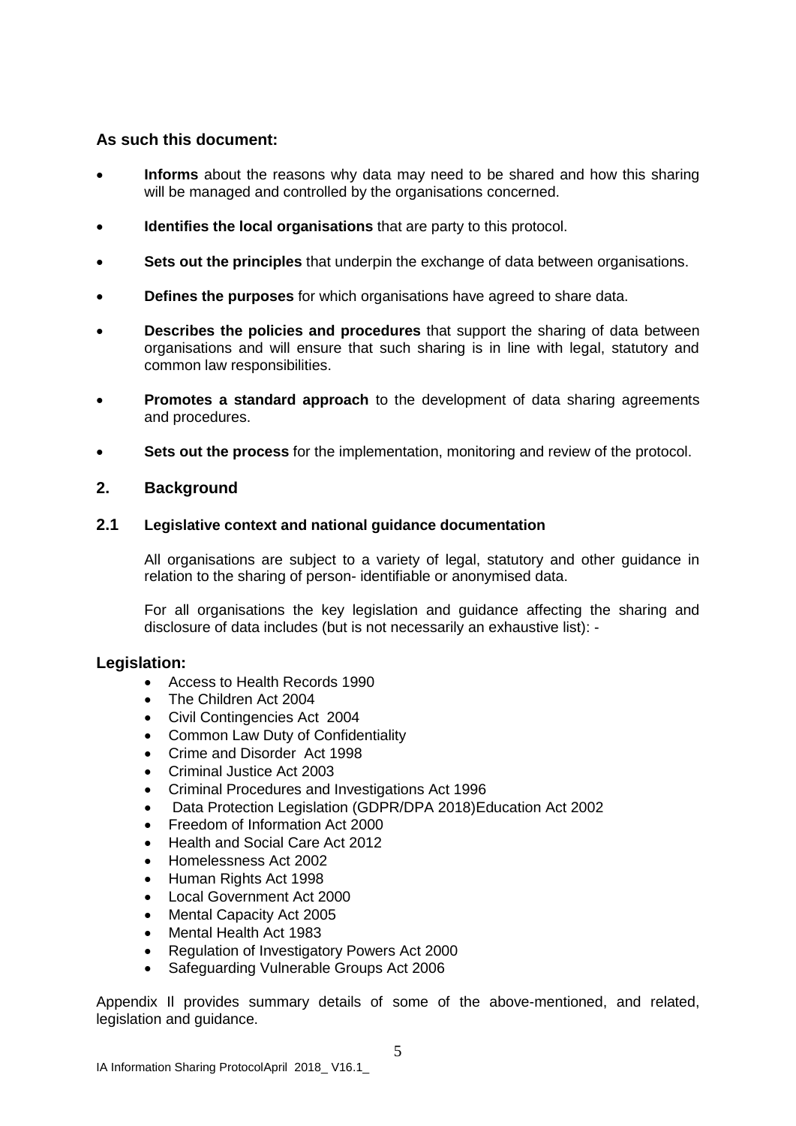#### **As such this document:**

- **Informs** about the reasons why data may need to be shared and how this sharing will be managed and controlled by the organisations concerned.
- **Identifies the local organisations** that are party to this protocol.
- **Sets out the principles** that underpin the exchange of data between organisations.
- **Defines the purposes** for which organisations have agreed to share data.
- **Describes the policies and procedures** that support the sharing of data between organisations and will ensure that such sharing is in line with legal, statutory and common law responsibilities.
- **Promotes a standard approach** to the development of data sharing agreements and procedures.
- **Sets out the process** for the implementation, monitoring and review of the protocol.

#### **2. Background**

#### **2.1 Legislative context and national guidance documentation**

All organisations are subject to a variety of legal, statutory and other guidance in relation to the sharing of person- identifiable or anonymised data.

For all organisations the key legislation and guidance affecting the sharing and disclosure of data includes (but is not necessarily an exhaustive list): -

#### **Legislation:**

- Access to Health Records 1990
- The Children Act 2004
- Civil Contingencies Act 2004
- Common Law Duty of Confidentiality
- Crime and Disorder Act 1998
- Criminal Justice Act 2003
- Criminal Procedures and Investigations Act 1996
- Data Protection Legislation (GDPR/DPA 2018)Education Act 2002
- Freedom of Information Act 2000
- Health and Social Care Act 2012
- Homelessness Act 2002
- Human Rights Act 1998
- Local Government Act 2000
- Mental Capacity Act 2005
- Mental Health Act 1983
- Regulation of Investigatory Powers Act 2000
- Safeguarding Vulnerable Groups Act 2006

Appendix Il provides summary details of some of the above-mentioned, and related, legislation and guidance.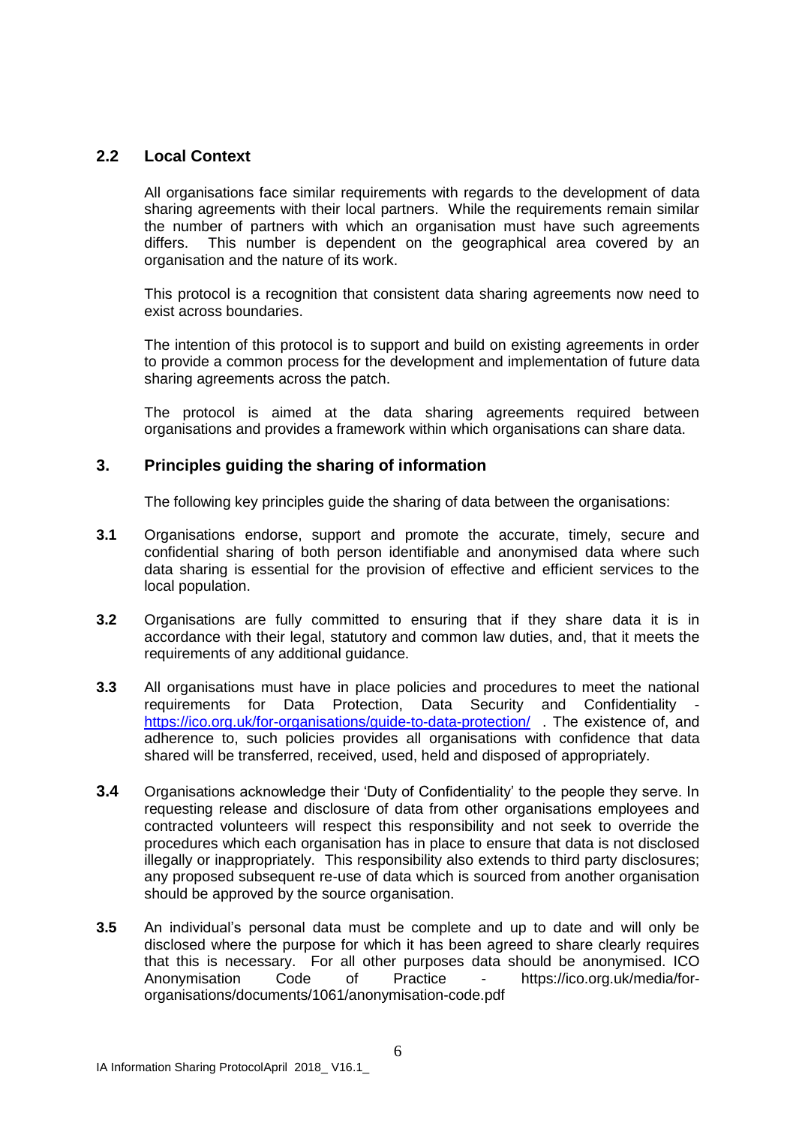#### **2.2 Local Context**

All organisations face similar requirements with regards to the development of data sharing agreements with their local partners. While the requirements remain similar the number of partners with which an organisation must have such agreements differs. This number is dependent on the geographical area covered by an organisation and the nature of its work.

This protocol is a recognition that consistent data sharing agreements now need to exist across boundaries.

The intention of this protocol is to support and build on existing agreements in order to provide a common process for the development and implementation of future data sharing agreements across the patch.

The protocol is aimed at the data sharing agreements required between organisations and provides a framework within which organisations can share data.

#### **3. Principles guiding the sharing of information**

The following key principles guide the sharing of data between the organisations:

- **3.1** Organisations endorse, support and promote the accurate, timely, secure and confidential sharing of both person identifiable and anonymised data where such data sharing is essential for the provision of effective and efficient services to the local population.
- **3.2** Organisations are fully committed to ensuring that if they share data it is in accordance with their legal, statutory and common law duties, and, that it meets the requirements of any additional guidance.
- **3.3** All organisations must have in place policies and procedures to meet the national requirements for Data Protection, Data Security and Confidentiality <https://ico.org.uk/for-organisations/guide-to-data-protection/>. The existence of, and adherence to, such policies provides all organisations with confidence that data shared will be transferred, received, used, held and disposed of appropriately.
- **3.4** Organisations acknowledge their 'Duty of Confidentiality' to the people they serve. In requesting release and disclosure of data from other organisations employees and contracted volunteers will respect this responsibility and not seek to override the procedures which each organisation has in place to ensure that data is not disclosed illegally or inappropriately. This responsibility also extends to third party disclosures; any proposed subsequent re-use of data which is sourced from another organisation should be approved by the source organisation.
- **3.5** An individual's personal data must be complete and up to date and will only be disclosed where the purpose for which it has been agreed to share clearly requires that this is necessary. For all other purposes data should be anonymised. ICO Anonymisation Code of Practice - https://ico.org.uk/media/fororganisations/documents/1061/anonymisation-code.pdf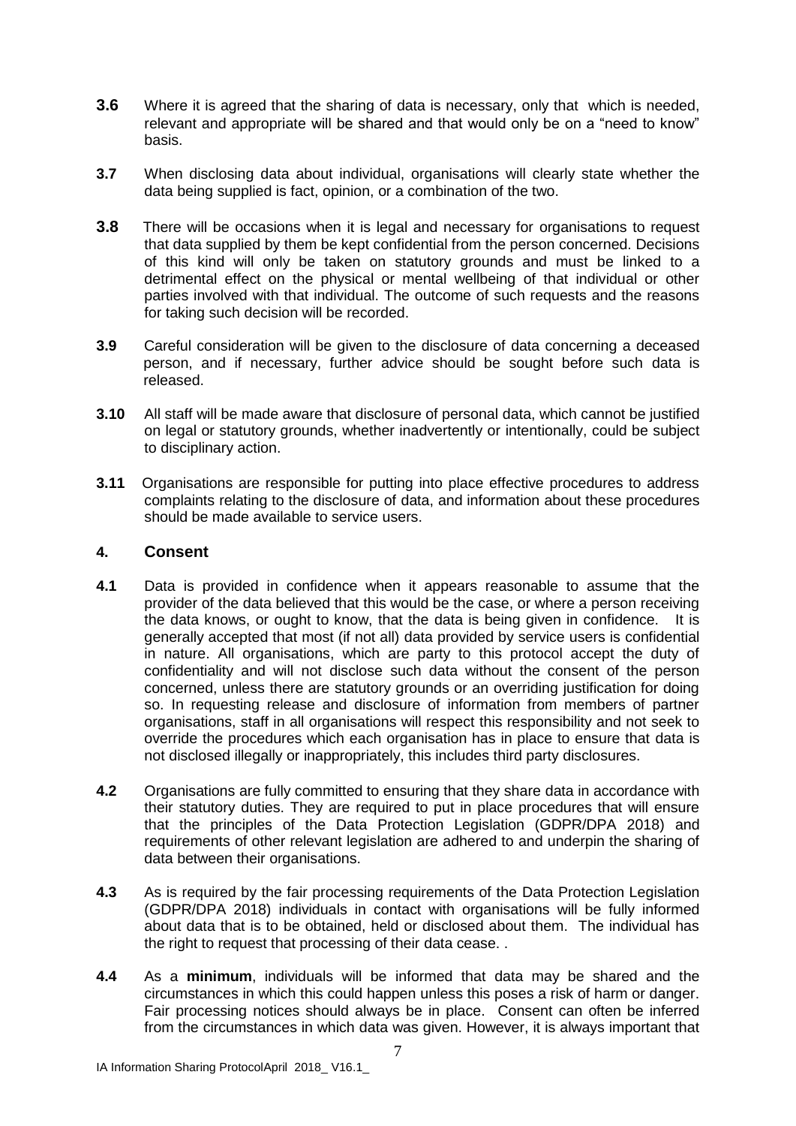- **3.6** Where it is agreed that the sharing of data is necessary, only that which is needed, relevant and appropriate will be shared and that would only be on a "need to know" basis.
- **3.7** When disclosing data about individual, organisations will clearly state whether the data being supplied is fact, opinion, or a combination of the two.
- **3.8** There will be occasions when it is legal and necessary for organisations to request that data supplied by them be kept confidential from the person concerned. Decisions of this kind will only be taken on statutory grounds and must be linked to a detrimental effect on the physical or mental wellbeing of that individual or other parties involved with that individual. The outcome of such requests and the reasons for taking such decision will be recorded.
- **3.9** Careful consideration will be given to the disclosure of data concerning a deceased person, and if necessary, further advice should be sought before such data is released.
- **3.10** All staff will be made aware that disclosure of personal data, which cannot be justified on legal or statutory grounds, whether inadvertently or intentionally, could be subject to disciplinary action.
- **3.11** Organisations are responsible for putting into place effective procedures to address complaints relating to the disclosure of data, and information about these procedures should be made available to service users.

#### **4. Consent**

- **4.1** Data is provided in confidence when it appears reasonable to assume that the provider of the data believed that this would be the case, or where a person receiving the data knows, or ought to know, that the data is being given in confidence. It is generally accepted that most (if not all) data provided by service users is confidential in nature. All organisations, which are party to this protocol accept the duty of confidentiality and will not disclose such data without the consent of the person concerned, unless there are statutory grounds or an overriding justification for doing so. In requesting release and disclosure of information from members of partner organisations, staff in all organisations will respect this responsibility and not seek to override the procedures which each organisation has in place to ensure that data is not disclosed illegally or inappropriately, this includes third party disclosures.
- **4.2** Organisations are fully committed to ensuring that they share data in accordance with their statutory duties. They are required to put in place procedures that will ensure that the principles of the Data Protection Legislation (GDPR/DPA 2018) and requirements of other relevant legislation are adhered to and underpin the sharing of data between their organisations.
- **4.3** As is required by the fair processing requirements of the Data Protection Legislation (GDPR/DPA 2018) individuals in contact with organisations will be fully informed about data that is to be obtained, held or disclosed about them. The individual has the right to request that processing of their data cease. .
- **4.4** As a **minimum**, individuals will be informed that data may be shared and the circumstances in which this could happen unless this poses a risk of harm or danger. Fair processing notices should always be in place. Consent can often be inferred from the circumstances in which data was given. However, it is always important that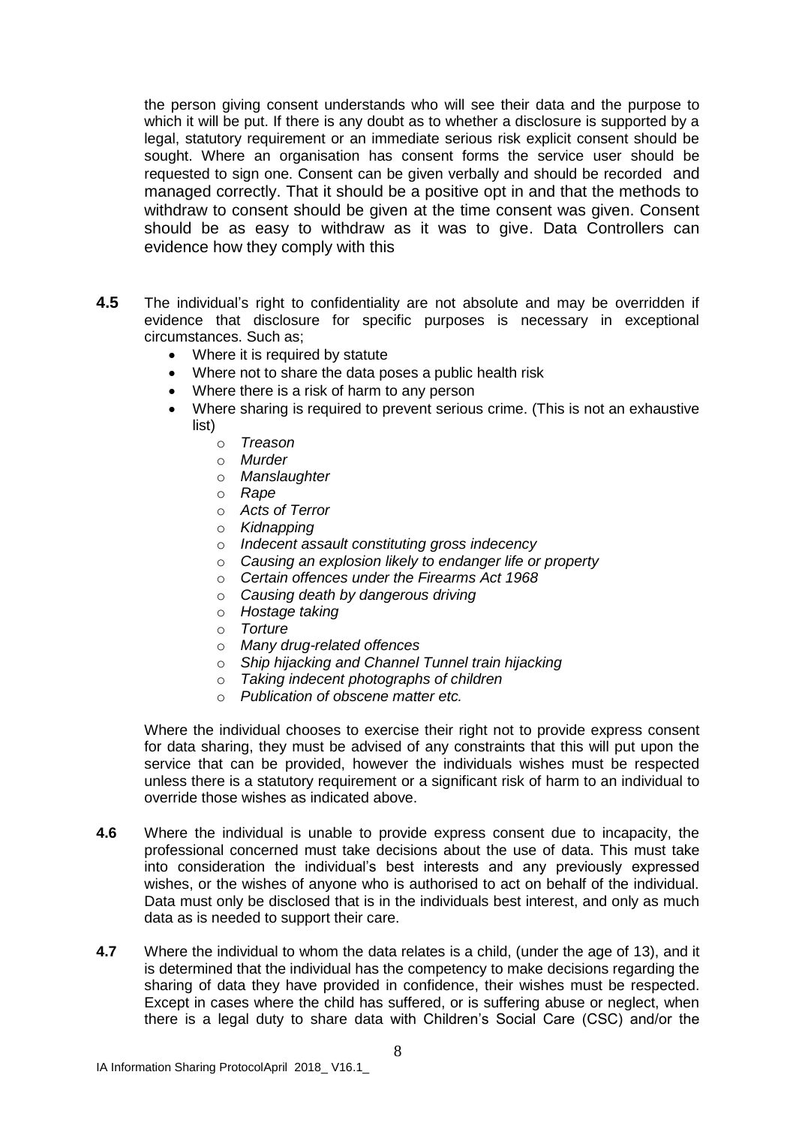the person giving consent understands who will see their data and the purpose to which it will be put. If there is any doubt as to whether a disclosure is supported by a legal, statutory requirement or an immediate serious risk explicit consent should be sought. Where an organisation has consent forms the service user should be requested to sign one. Consent can be given verbally and should be recorded and managed correctly. That it should be a positive opt in and that the methods to withdraw to consent should be given at the time consent was given. Consent should be as easy to withdraw as it was to give. Data Controllers can evidence how they comply with this

- **4.5** The individual's right to confidentiality are not absolute and may be overridden if evidence that disclosure for specific purposes is necessary in exceptional circumstances. Such as;
	- Where it is required by statute
	- Where not to share the data poses a public health risk
	- Where there is a risk of harm to any person
	- Where sharing is required to prevent serious crime. (This is not an exhaustive list)
		- o *Treason*
		- o *Murder*
		- o *Manslaughter*
		- o *Rape*
		- o *Acts of Terror*
		- o *Kidnapping*
		- o *Indecent assault constituting gross indecency*
		- o *Causing an explosion likely to endanger life or property*
		- o *Certain offences under the Firearms Act 1968*
		- o *Causing death by dangerous driving*
		- o *Hostage taking*
		- o *Torture*
		- o *Many drug-related offences*
		- o *Ship hijacking and Channel Tunnel train hijacking*
		- o *Taking indecent photographs of children*
		- o *Publication of obscene matter etc.*

Where the individual chooses to exercise their right not to provide express consent for data sharing, they must be advised of any constraints that this will put upon the service that can be provided, however the individuals wishes must be respected unless there is a statutory requirement or a significant risk of harm to an individual to override those wishes as indicated above.

- **4.6** Where the individual is unable to provide express consent due to incapacity, the professional concerned must take decisions about the use of data. This must take into consideration the individual's best interests and any previously expressed wishes, or the wishes of anyone who is authorised to act on behalf of the individual. Data must only be disclosed that is in the individuals best interest, and only as much data as is needed to support their care.
- **4.7** Where the individual to whom the data relates is a child, (under the age of 13), and it is determined that the individual has the competency to make decisions regarding the sharing of data they have provided in confidence, their wishes must be respected. Except in cases where the child has suffered, or is suffering abuse or neglect, when there is a legal duty to share data with Children's Social Care (CSC) and/or the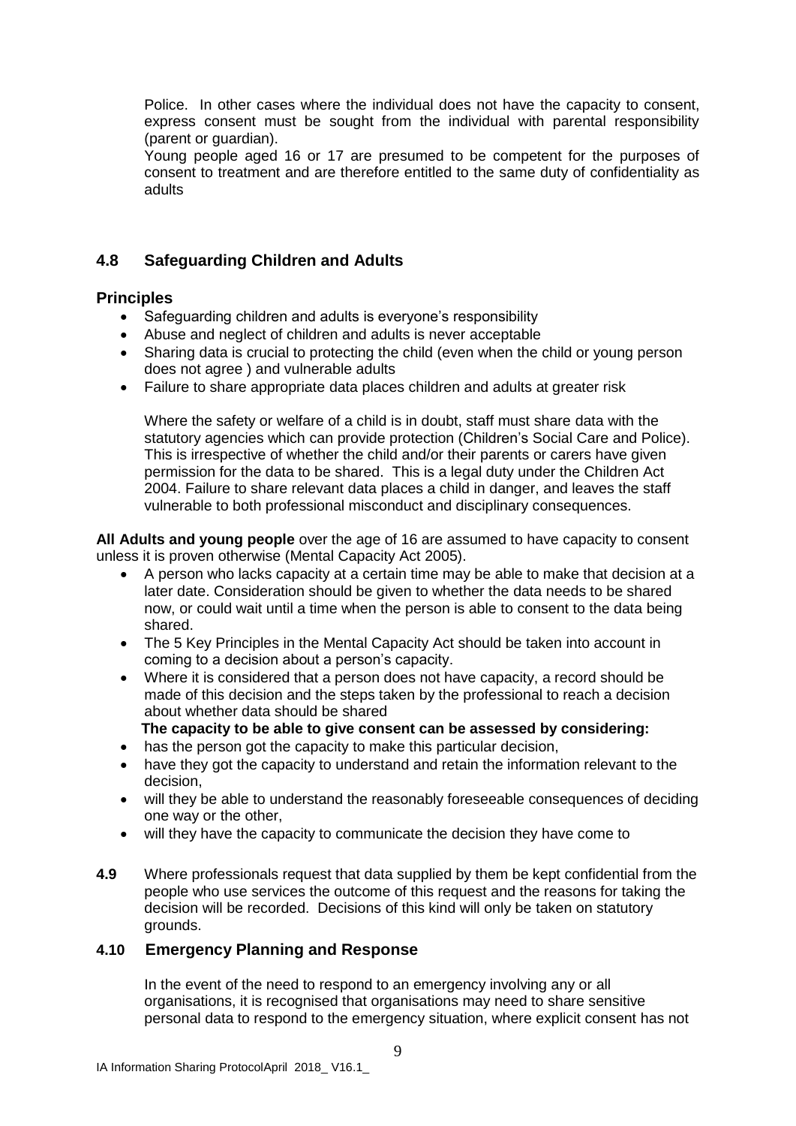Police. In other cases where the individual does not have the capacity to consent, express consent must be sought from the individual with parental responsibility (parent or guardian).

Young people aged 16 or 17 are presumed to be competent for the purposes of consent to treatment and are therefore entitled to the same duty of confidentiality as adults

#### **4.8 Safeguarding Children and Adults**

#### **Principles**

- Safeguarding children and adults is everyone's responsibility
- Abuse and neglect of children and adults is never acceptable
- Sharing data is crucial to protecting the child (even when the child or young person does not agree ) and vulnerable adults
- Failure to share appropriate data places children and adults at greater risk

Where the safety or welfare of a child is in doubt, staff must share data with the statutory agencies which can provide protection (Children's Social Care and Police). This is irrespective of whether the child and/or their parents or carers have given permission for the data to be shared. This is a legal duty under the Children Act 2004. Failure to share relevant data places a child in danger, and leaves the staff vulnerable to both professional misconduct and disciplinary consequences.

**All Adults and young people** over the age of 16 are assumed to have capacity to consent unless it is proven otherwise (Mental Capacity Act 2005).

- A person who lacks capacity at a certain time may be able to make that decision at a later date. Consideration should be given to whether the data needs to be shared now, or could wait until a time when the person is able to consent to the data being shared.
- The 5 Key Principles in the Mental Capacity Act should be taken into account in coming to a decision about a person's capacity.
- Where it is considered that a person does not have capacity, a record should be made of this decision and the steps taken by the professional to reach a decision about whether data should be shared
- **The capacity to be able to give consent can be assessed by considering:**
- has the person got the capacity to make this particular decision,
- have they got the capacity to understand and retain the information relevant to the decision,
- will they be able to understand the reasonably foreseeable consequences of deciding one way or the other,
- will they have the capacity to communicate the decision they have come to
- **4.9** Where professionals request that data supplied by them be kept confidential from the people who use services the outcome of this request and the reasons for taking the decision will be recorded. Decisions of this kind will only be taken on statutory grounds.

#### **4.10 Emergency Planning and Response**

In the event of the need to respond to an emergency involving any or all organisations, it is recognised that organisations may need to share sensitive personal data to respond to the emergency situation, where explicit consent has not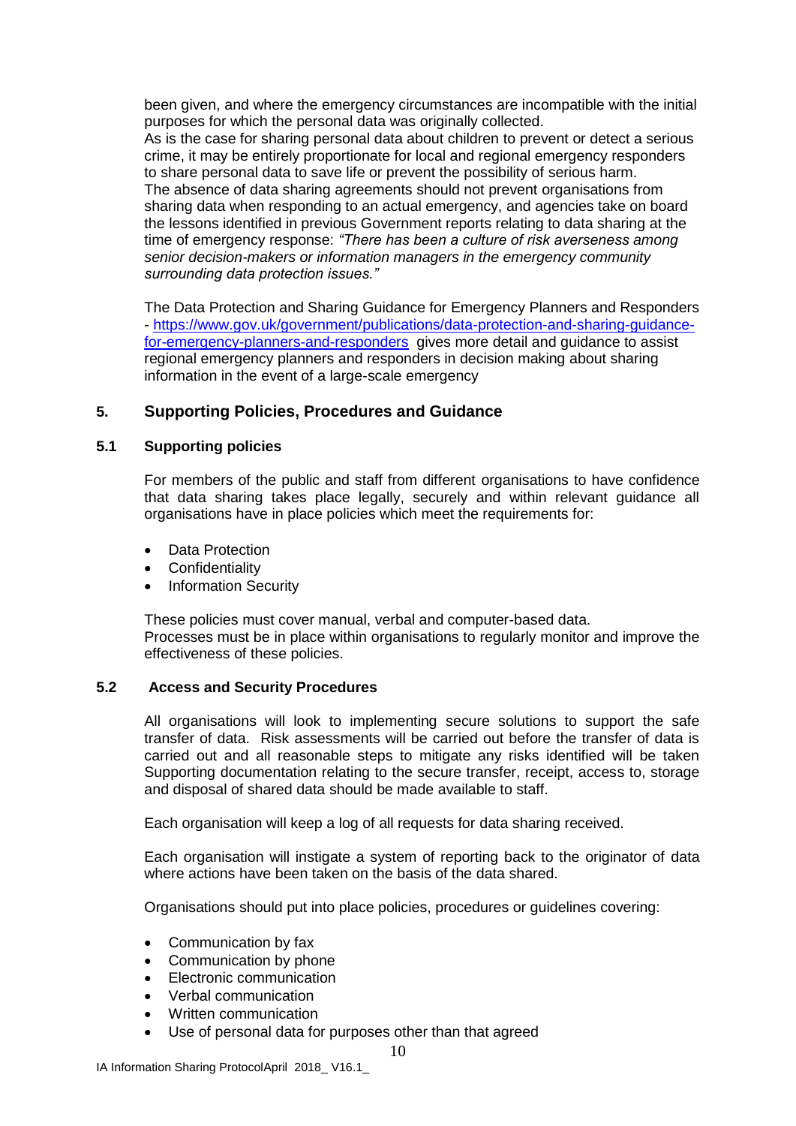been given, and where the emergency circumstances are incompatible with the initial purposes for which the personal data was originally collected. As is the case for sharing personal data about children to prevent or detect a serious crime, it may be entirely proportionate for local and regional emergency responders to share personal data to save life or prevent the possibility of serious harm. The absence of data sharing agreements should not prevent organisations from sharing data when responding to an actual emergency, and agencies take on board the lessons identified in previous Government reports relating to data sharing at the time of emergency response: *"There has been a culture of risk averseness among senior decision-makers or information managers in the emergency community surrounding data protection issues."*

The Data Protection and Sharing Guidance for Emergency Planners and Responders - [https://www.gov.uk/government/publications/data-protection-and-sharing-guidance](https://www.gov.uk/government/publications/data-protection-and-sharing-guidance-for-emergency-planners-and-responders)[for-emergency-planners-and-responders](https://www.gov.uk/government/publications/data-protection-and-sharing-guidance-for-emergency-planners-and-responders) gives more detail and guidance to assist regional emergency planners and responders in decision making about sharing information in the event of a large-scale emergency

#### **5. Supporting Policies, Procedures and Guidance**

#### **5.1 Supporting policies**

For members of the public and staff from different organisations to have confidence that data sharing takes place legally, securely and within relevant guidance all organisations have in place policies which meet the requirements for:

- Data Protection
- Confidentiality
- Information Security

These policies must cover manual, verbal and computer-based data. Processes must be in place within organisations to regularly monitor and improve the effectiveness of these policies.

#### **5.2 Access and Security Procedures**

All organisations will look to implementing secure solutions to support the safe transfer of data. Risk assessments will be carried out before the transfer of data is carried out and all reasonable steps to mitigate any risks identified will be taken Supporting documentation relating to the secure transfer, receipt, access to, storage and disposal of shared data should be made available to staff.

Each organisation will keep a log of all requests for data sharing received.

Each organisation will instigate a system of reporting back to the originator of data where actions have been taken on the basis of the data shared.

Organisations should put into place policies, procedures or guidelines covering:

- Communication by fax
- Communication by phone
- Electronic communication
- Verbal communication
- Written communication
- Use of personal data for purposes other than that agreed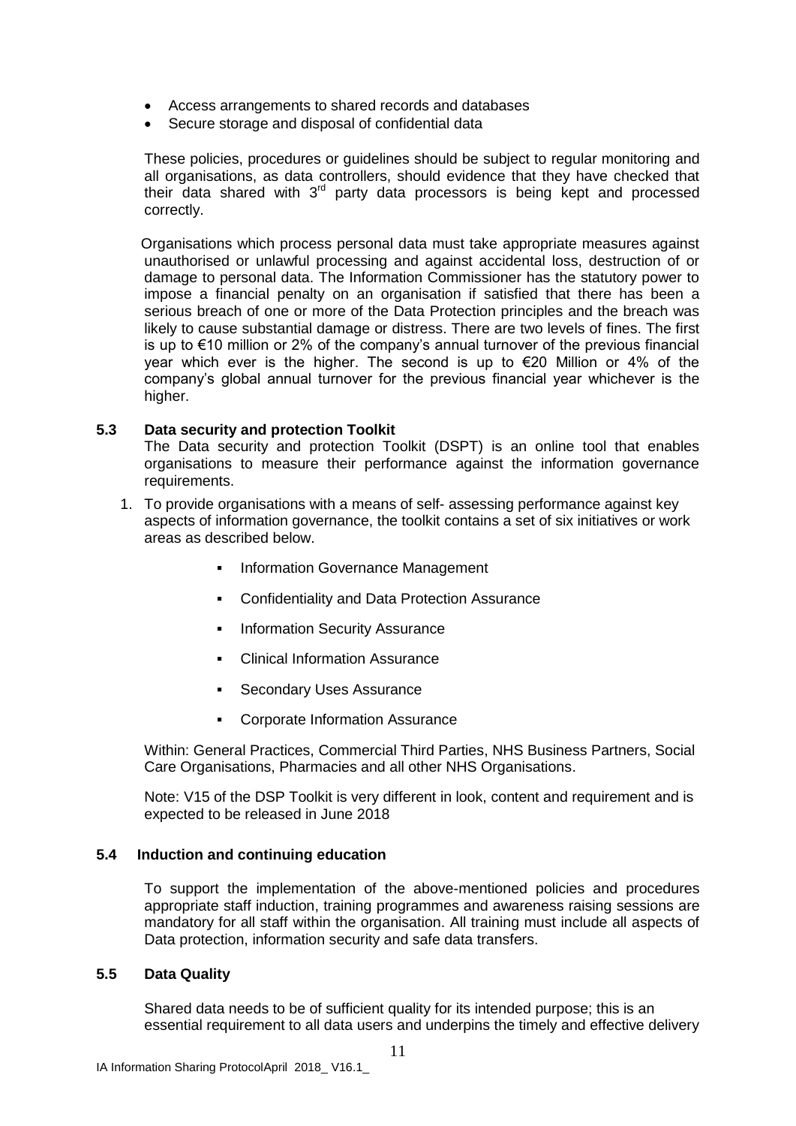- Access arrangements to shared records and databases
- Secure storage and disposal of confidential data

These policies, procedures or guidelines should be subject to regular monitoring and all organisations, as data controllers, should evidence that they have checked that their data shared with  $3<sup>rd</sup>$  party data processors is being kept and processed correctly.

 Organisations which process personal data must take appropriate measures against unauthorised or unlawful processing and against accidental loss, destruction of or damage to personal data. The Information Commissioner has the statutory power to impose a financial penalty on an organisation if satisfied that there has been a serious breach of one or more of the Data Protection principles and the breach was likely to cause substantial damage or distress. There are two levels of fines. The first is up to €10 million or 2% of the company's annual turnover of the previous financial year which ever is the higher. The second is up to €20 Million or 4% of the company's global annual turnover for the previous financial year whichever is the higher.

#### **5.3 Data security and protection Toolkit**

The Data security and protection Toolkit (DSPT) is an online tool that enables organisations to measure their performance against the information governance requirements.

- 1. To provide organisations with a means of self- assessing performance against key aspects of information governance, the toolkit contains a set of six initiatives or work areas as described below.
	- Information Governance Management
	- **Confidentiality and Data Protection Assurance**
	- Information Security Assurance
	- Clinical Information Assurance
	- **Secondary Uses Assurance**
	- Corporate Information Assurance

Within: General Practices, Commercial Third Parties, NHS Business Partners, Social Care Organisations, Pharmacies and all other NHS Organisations.

Note: V15 of the DSP Toolkit is very different in look, content and requirement and is expected to be released in June 2018

#### **5.4 Induction and continuing education**

To support the implementation of the above-mentioned policies and procedures appropriate staff induction, training programmes and awareness raising sessions are mandatory for all staff within the organisation. All training must include all aspects of Data protection, information security and safe data transfers.

#### **5.5 Data Quality**

Shared data needs to be of sufficient quality for its intended purpose; this is an essential requirement to all data users and underpins the timely and effective delivery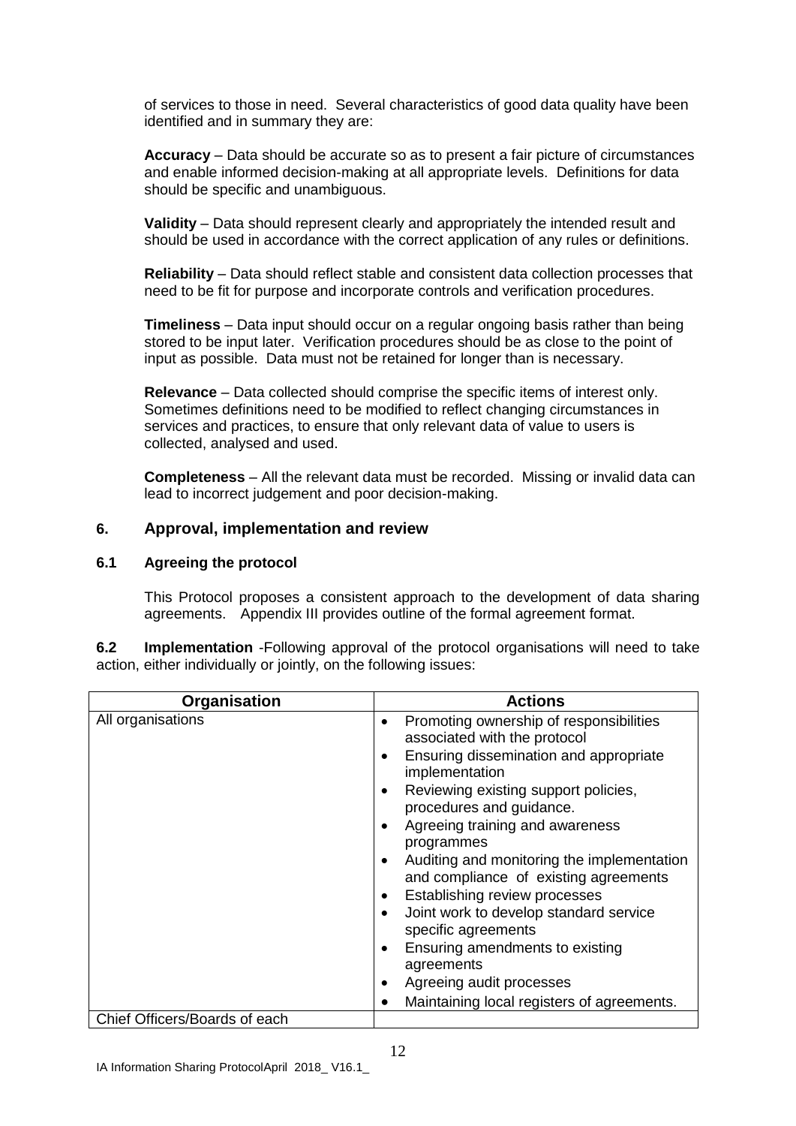of services to those in need. Several characteristics of good data quality have been identified and in summary they are:

**Accuracy** – Data should be accurate so as to present a fair picture of circumstances and enable informed decision-making at all appropriate levels. Definitions for data should be specific and unambiguous.

**Validity** – Data should represent clearly and appropriately the intended result and should be used in accordance with the correct application of any rules or definitions.

**Reliability** – Data should reflect stable and consistent data collection processes that need to be fit for purpose and incorporate controls and verification procedures.

**Timeliness** – Data input should occur on a regular ongoing basis rather than being stored to be input later. Verification procedures should be as close to the point of input as possible. Data must not be retained for longer than is necessary.

**Relevance** – Data collected should comprise the specific items of interest only. Sometimes definitions need to be modified to reflect changing circumstances in services and practices, to ensure that only relevant data of value to users is collected, analysed and used.

**Completeness** – All the relevant data must be recorded. Missing or invalid data can lead to incorrect judgement and poor decision-making.

#### **6. Approval, implementation and review**

#### **6.1 Agreeing the protocol**

This Protocol proposes a consistent approach to the development of data sharing agreements. Appendix III provides outline of the formal agreement format.

**6.2 Implementation** -Following approval of the protocol organisations will need to take action, either individually or jointly, on the following issues:

| Organisation                  | <b>Actions</b>                                                                                                                                                                                                                                                                                                                                                                                                                                                                                                                                                                                                                               |
|-------------------------------|----------------------------------------------------------------------------------------------------------------------------------------------------------------------------------------------------------------------------------------------------------------------------------------------------------------------------------------------------------------------------------------------------------------------------------------------------------------------------------------------------------------------------------------------------------------------------------------------------------------------------------------------|
| All organisations             | Promoting ownership of responsibilities<br>associated with the protocol<br>Ensuring dissemination and appropriate<br>٠<br>implementation<br>Reviewing existing support policies,<br>٠<br>procedures and guidance.<br>Agreeing training and awareness<br>٠<br>programmes<br>Auditing and monitoring the implementation<br>$\bullet$<br>and compliance of existing agreements<br>Establishing review processes<br>٠<br>Joint work to develop standard service<br>$\bullet$<br>specific agreements<br>Ensuring amendments to existing<br>$\bullet$<br>agreements<br>Agreeing audit processes<br>٠<br>Maintaining local registers of agreements. |
| Chief Officers/Boards of each |                                                                                                                                                                                                                                                                                                                                                                                                                                                                                                                                                                                                                                              |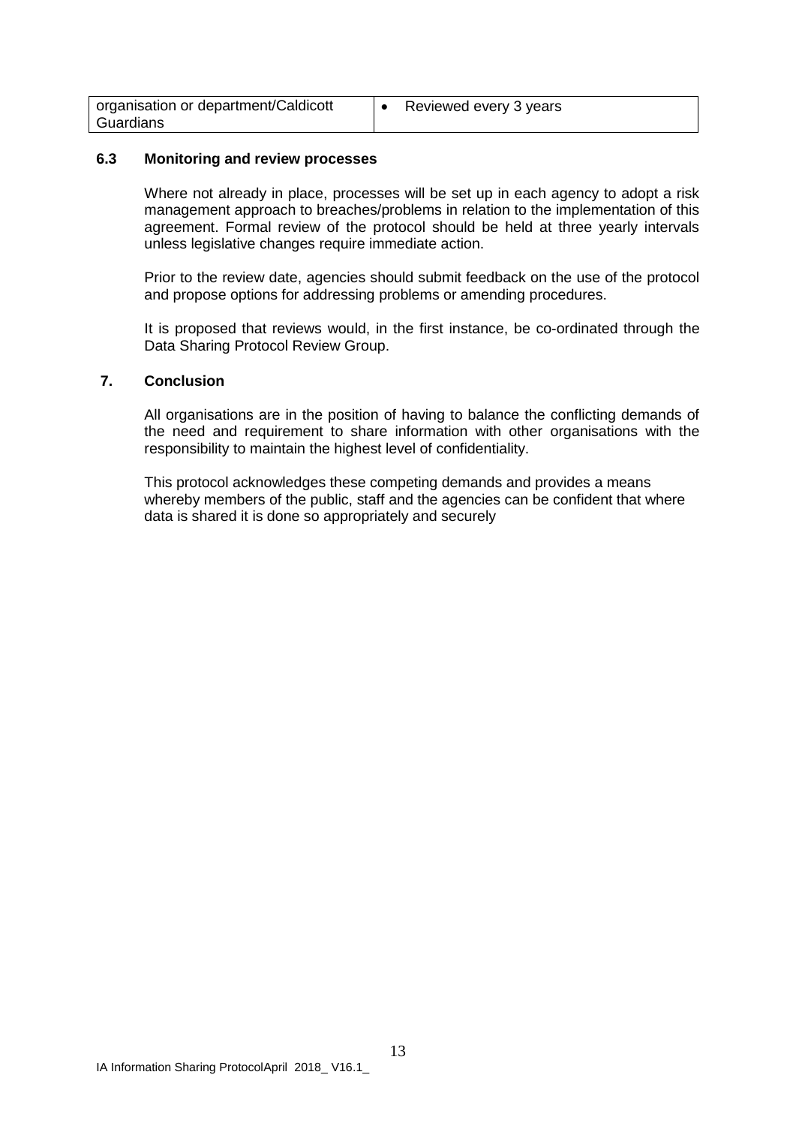| organisation or department/Caldicott | Reviewed every 3 years |
|--------------------------------------|------------------------|
| Guardians                            |                        |

#### **6.3 Monitoring and review processes**

Where not already in place, processes will be set up in each agency to adopt a risk management approach to breaches/problems in relation to the implementation of this agreement. Formal review of the protocol should be held at three yearly intervals unless legislative changes require immediate action.

Prior to the review date, agencies should submit feedback on the use of the protocol and propose options for addressing problems or amending procedures.

It is proposed that reviews would, in the first instance, be co-ordinated through the Data Sharing Protocol Review Group.

#### **7. Conclusion**

All organisations are in the position of having to balance the conflicting demands of the need and requirement to share information with other organisations with the responsibility to maintain the highest level of confidentiality.

This protocol acknowledges these competing demands and provides a means whereby members of the public, staff and the agencies can be confident that where data is shared it is done so appropriately and securely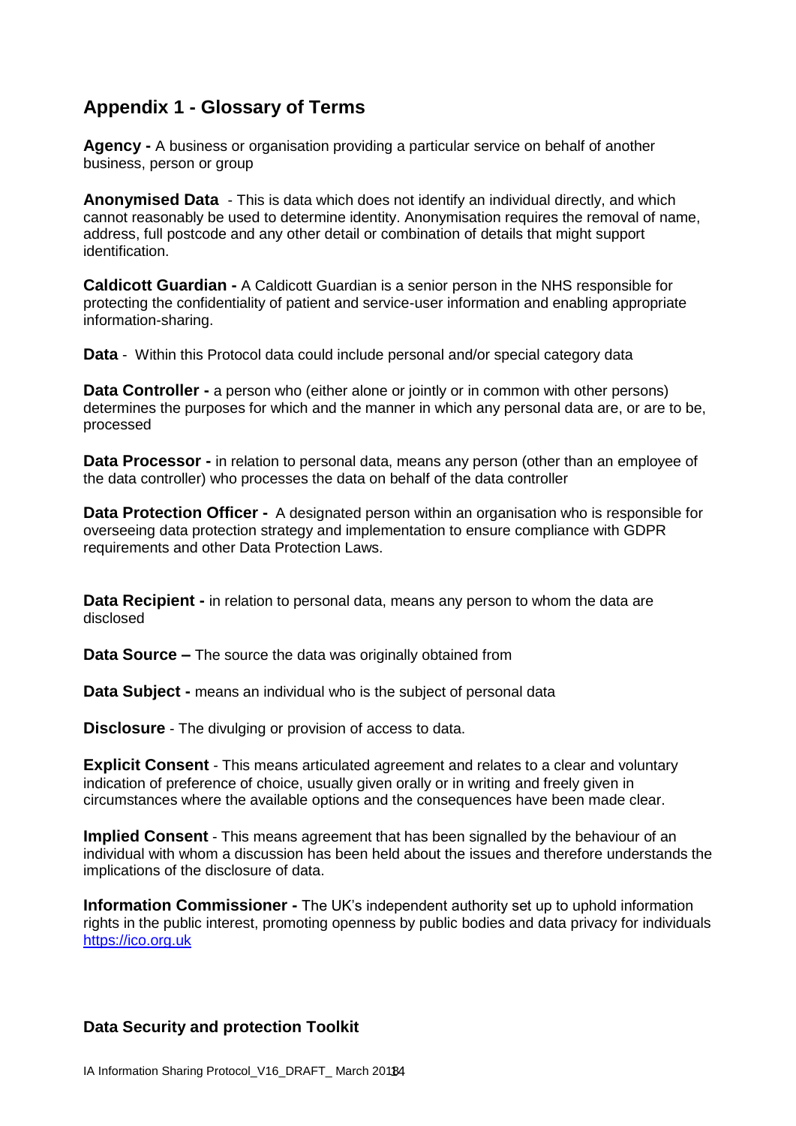## **Appendix 1 - Glossary of Terms**

**Agency -** A business or organisation providing a particular service on behalf of another business, person or group

**Anonymised Data** - This is data which does not identify an individual directly, and which cannot reasonably be used to determine identity. Anonymisation requires the removal of name, address, full postcode and any other detail or combination of details that might support identification.

**Caldicott Guardian -** A Caldicott Guardian is a senior person in the NHS responsible for protecting the confidentiality of patient and service-user information and enabling appropriate information-sharing.

**Data** - Within this Protocol data could include personal and/or special category data

**Data Controller -** a person who (either alone or jointly or in common with other persons) determines the purposes for which and the manner in which any personal data are, or are to be, processed

**Data Processor -** in relation to personal data, means any person (other than an employee of the data controller) who processes the data on behalf of the data controller

**Data Protection Officer -** A designated person within an organisation who is responsible for overseeing data protection strategy and implementation to ensure compliance with GDPR requirements and other Data Protection Laws.

**Data Recipient -** in relation to personal data, means any person to whom the data are disclosed

**Data Source –** The source the data was originally obtained from

**Data Subject -** means an individual who is the subject of personal data

**Disclosure** - The divulging or provision of access to data.

**Explicit Consent** - This means articulated agreement and relates to a clear and voluntary indication of preference of choice, usually given orally or in writing and freely given in circumstances where the available options and the consequences have been made clear.

**Implied Consent** - This means agreement that has been signalled by the behaviour of an individual with whom a discussion has been held about the issues and therefore understands the implications of the disclosure of data.

**Information Commissioner -** The UK's independent authority set up to [uphold information](https://ico.org.uk/about-the-ico/)  [rights in the public interest,](https://ico.org.uk/about-the-ico/) promoting openness by public bodies and data privacy for individuals [https://ico.org.uk](https://ico.org.uk/)

#### **Data Security and protection Toolkit**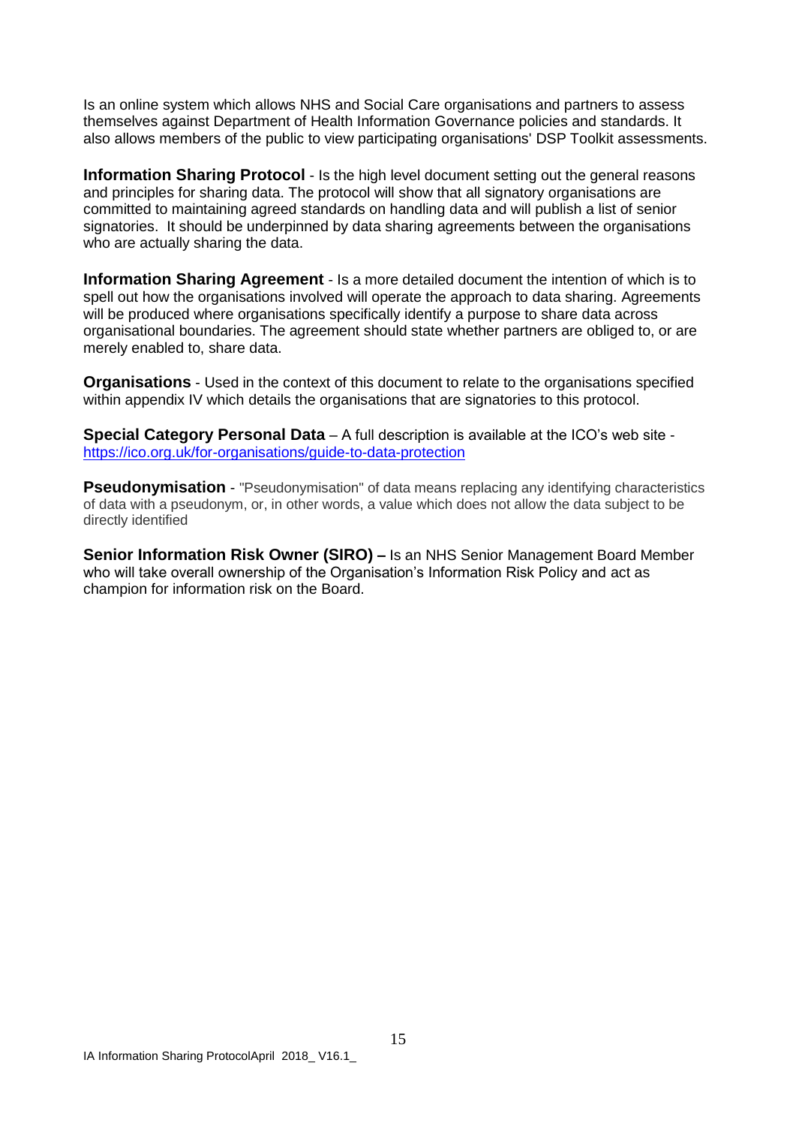Is an online system which allows NHS and Social Care organisations and partners to assess themselves against Department of Health Information Governance policies and standards. It also allows members of the public to view participating organisations' DSP Toolkit assessments.

**Information Sharing Protocol** - Is the high level document setting out the general reasons and principles for sharing data. The protocol will show that all signatory organisations are committed to maintaining agreed standards on handling data and will publish a list of senior signatories. It should be underpinned by data sharing agreements between the organisations who are actually sharing the data.

**Information Sharing Agreement** - Is a more detailed document the intention of which is to spell out how the organisations involved will operate the approach to data sharing. Agreements will be produced where organisations specifically identify a purpose to share data across organisational boundaries. The agreement should state whether partners are obliged to, or are merely enabled to, share data.

**Organisations** - Used in the context of this document to relate to the organisations specified within appendix IV which details the organisations that are signatories to this protocol.

**Special Category Personal Data** – A full description is available at the ICO's web site <https://ico.org.uk/for-organisations/guide-to-data-protection>

**Pseudonymisation** - "Pseudonymisation" of data means replacing any identifying characteristics of data with a pseudonym, or, in other words, a value which does not allow the data subject to be directly identified

**Senior Information Risk Owner (SIRO) –** Is an NHS Senior Management Board Member who will take overall ownership of the Organisation's Information Risk Policy and act as champion for information risk on the Board.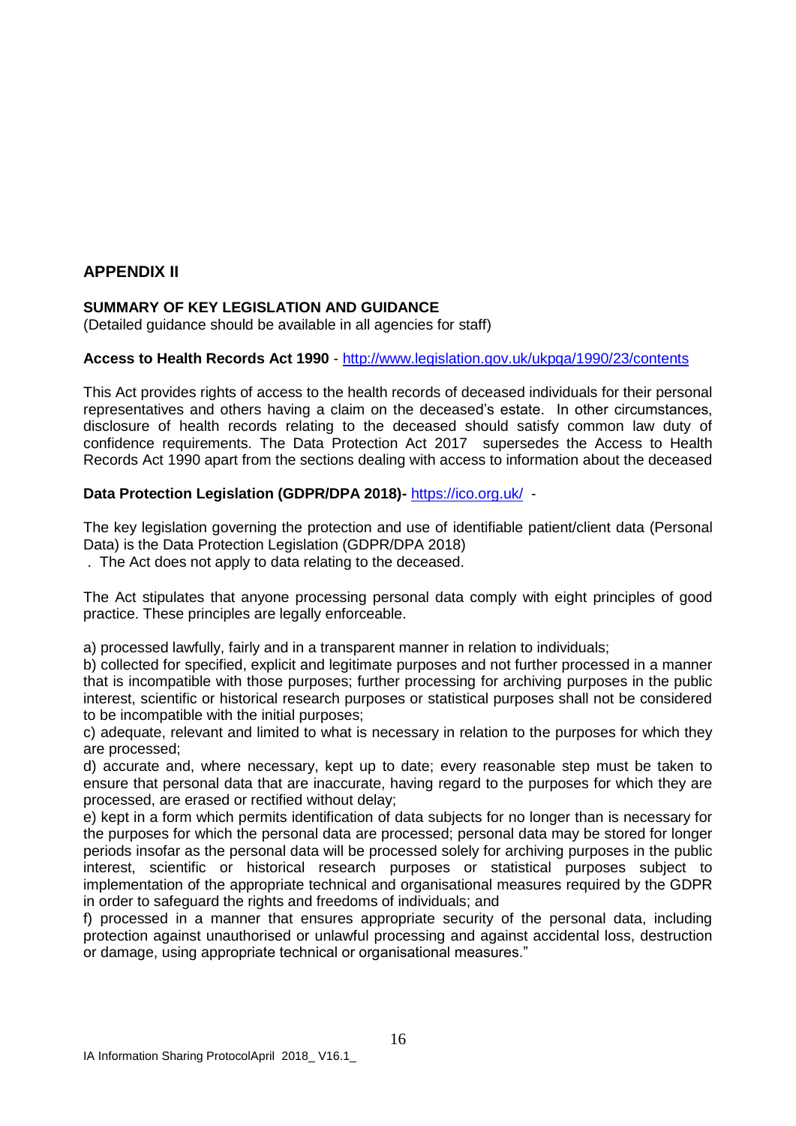#### **APPENDIX II**

#### **SUMMARY OF KEY LEGISLATION AND GUIDANCE**

(Detailed guidance should be available in all agencies for staff)

#### **Access to Health Records Act 1990** - <http://www.legislation.gov.uk/ukpga/1990/23/contents>

This Act provides rights of access to the health records of deceased individuals for their personal representatives and others having a claim on the deceased's estate. In other circumstances, disclosure of health records relating to the deceased should satisfy common law duty of confidence requirements. The Data Protection Act 2017 supersedes the Access to Health Records Act 1990 apart from the sections dealing with access to information about the deceased

#### **Data Protection Legislation (GDPR/DPA 2018)-** <https://ico.org.uk/> -

The key legislation governing the protection and use of identifiable patient/client data (Personal Data) is the Data Protection Legislation (GDPR/DPA 2018)

. The Act does not apply to data relating to the deceased.

The Act stipulates that anyone processing personal data comply with eight principles of good practice. These principles are legally enforceable.

a) processed lawfully, fairly and in a transparent manner in relation to individuals;

b) collected for specified, explicit and legitimate purposes and not further processed in a manner that is incompatible with those purposes; further processing for archiving purposes in the public interest, scientific or historical research purposes or statistical purposes shall not be considered to be incompatible with the initial purposes;

c) adequate, relevant and limited to what is necessary in relation to the purposes for which they are processed;

d) accurate and, where necessary, kept up to date; every reasonable step must be taken to ensure that personal data that are inaccurate, having regard to the purposes for which they are processed, are erased or rectified without delay;

e) kept in a form which permits identification of data subjects for no longer than is necessary for the purposes for which the personal data are processed; personal data may be stored for longer periods insofar as the personal data will be processed solely for archiving purposes in the public interest, scientific or historical research purposes or statistical purposes subject to implementation of the appropriate technical and organisational measures required by the GDPR in order to safeguard the rights and freedoms of individuals; and

f) processed in a manner that ensures appropriate security of the personal data, including protection against unauthorised or unlawful processing and against accidental loss, destruction or damage, using appropriate technical or organisational measures."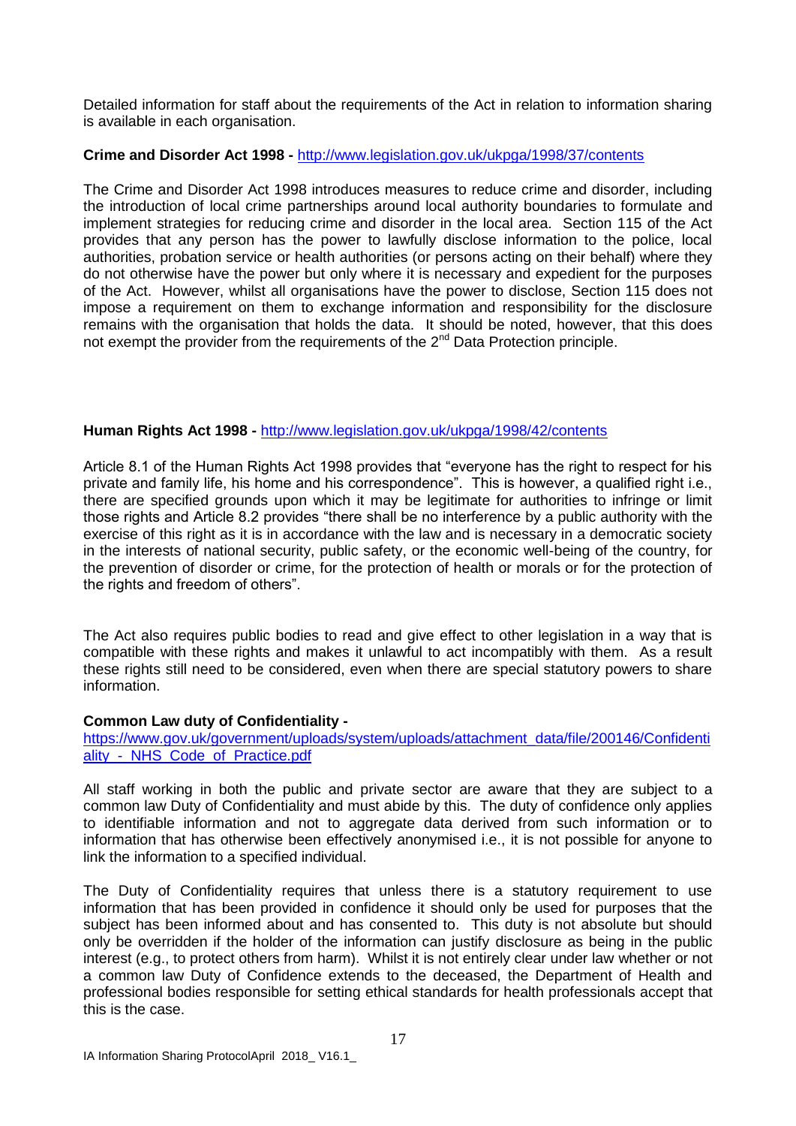Detailed information for staff about the requirements of the Act in relation to information sharing is available in each organisation.

#### **Crime and Disorder Act 1998 -** <http://www.legislation.gov.uk/ukpga/1998/37/contents>

The Crime and Disorder Act 1998 introduces measures to reduce crime and disorder, including the introduction of local crime partnerships around local authority boundaries to formulate and implement strategies for reducing crime and disorder in the local area. Section 115 of the Act provides that any person has the power to lawfully disclose information to the police, local authorities, probation service or health authorities (or persons acting on their behalf) where they do not otherwise have the power but only where it is necessary and expedient for the purposes of the Act. However, whilst all organisations have the power to disclose, Section 115 does not impose a requirement on them to exchange information and responsibility for the disclosure remains with the organisation that holds the data. It should be noted, however, that this does not exempt the provider from the requirements of the 2<sup>nd</sup> Data Protection principle.

#### **Human Rights Act 1998 -** <http://www.legislation.gov.uk/ukpga/1998/42/contents>

Article 8.1 of the Human Rights Act 1998 provides that "everyone has the right to respect for his private and family life, his home and his correspondence". This is however, a qualified right i.e., there are specified grounds upon which it may be legitimate for authorities to infringe or limit those rights and Article 8.2 provides "there shall be no interference by a public authority with the exercise of this right as it is in accordance with the law and is necessary in a democratic society in the interests of national security, public safety, or the economic well-being of the country, for the prevention of disorder or crime, for the protection of health or morals or for the protection of the rights and freedom of others".

The Act also requires public bodies to read and give effect to other legislation in a way that is compatible with these rights and makes it unlawful to act incompatibly with them. As a result these rights still need to be considered, even when there are special statutory powers to share information.

#### **Common Law duty of Confidentiality -**

[https://www.gov.uk/government/uploads/system/uploads/attachment\\_data/file/200146/Confidenti](https://www.gov.uk/government/uploads/system/uploads/attachment_data/file/200146/Confidentiality_-_NHS_Code_of_Practice.pdf) [ality\\_-\\_NHS\\_Code\\_of\\_Practice.pdf](https://www.gov.uk/government/uploads/system/uploads/attachment_data/file/200146/Confidentiality_-_NHS_Code_of_Practice.pdf)

All staff working in both the public and private sector are aware that they are subject to a common law Duty of Confidentiality and must abide by this. The duty of confidence only applies to identifiable information and not to aggregate data derived from such information or to information that has otherwise been effectively anonymised i.e., it is not possible for anyone to link the information to a specified individual.

The Duty of Confidentiality requires that unless there is a statutory requirement to use information that has been provided in confidence it should only be used for purposes that the subject has been informed about and has consented to. This duty is not absolute but should only be overridden if the holder of the information can justify disclosure as being in the public interest (e.g., to protect others from harm). Whilst it is not entirely clear under law whether or not a common law Duty of Confidence extends to the deceased, the Department of Health and professional bodies responsible for setting ethical standards for health professionals accept that this is the case.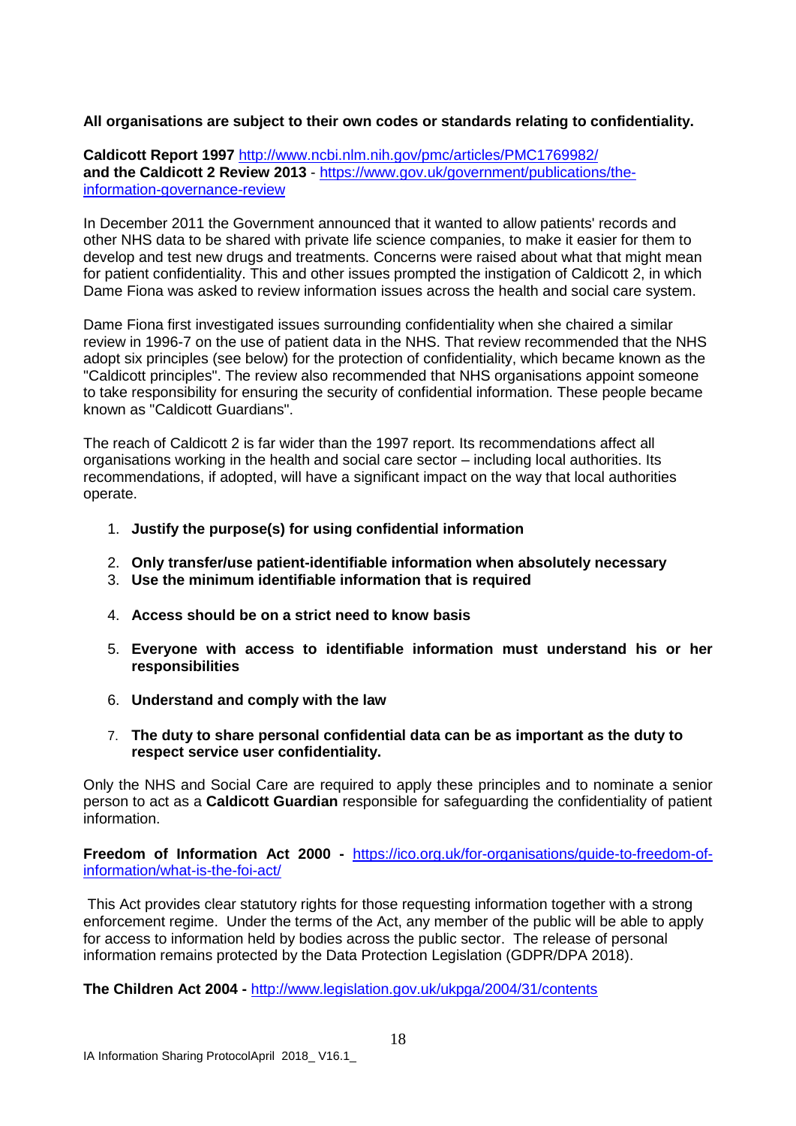#### **All organisations are subject to their own codes or standards relating to confidentiality.**

**Caldicott Report 1997** <http://www.ncbi.nlm.nih.gov/pmc/articles/PMC1769982/> **and the Caldicott 2 Review 2013** - [https://www.gov.uk/government/publications/the](https://www.gov.uk/government/publications/the-information-governance-review)[information-governance-review](https://www.gov.uk/government/publications/the-information-governance-review)

In December 2011 the Government announced that it wanted to allow patients' records and other NHS data to be shared with private life science companies, to make it easier for them to develop and test new drugs and treatments. Concerns were raised about what that might mean for patient confidentiality. This and other issues prompted the instigation of Caldicott 2, in which Dame Fiona was asked to review information issues across the health and social care system.

Dame Fiona first investigated issues surrounding confidentiality when she chaired a similar review in 1996-7 on the use of patient data in the NHS. That review recommended that the NHS adopt six principles (see below) for the protection of confidentiality, which became known as the "Caldicott principles". The review also recommended that NHS organisations appoint someone to take responsibility for ensuring the security of confidential information. These people became known as "Caldicott Guardians".

The reach of Caldicott 2 is far wider than the 1997 report. Its recommendations affect all organisations working in the health and social care sector – including local authorities. Its recommendations, if adopted, will have a significant impact on the way that local authorities operate.

- 1. **Justify the purpose(s) for using confidential information**
- 2. **Only transfer/use patient-identifiable information when absolutely necessary**
- 3. **Use the minimum identifiable information that is required**
- 4. **Access should be on a strict need to know basis**
- 5. **Everyone with access to identifiable information must understand his or her responsibilities**
- 6. **Understand and comply with the law**
- 7. **The duty to share personal confidential data can be as important as the duty to respect service user confidentiality.**

Only the NHS and Social Care are required to apply these principles and to nominate a senior person to act as a **Caldicott Guardian** responsible for safeguarding the confidentiality of patient information.

**Freedom of Information Act 2000 -** [https://ico.org.uk/for-organisations/guide-to-freedom-of](https://ico.org.uk/for-organisations/guide-to-freedom-of-information/what-is-the-foi-act/)[information/what-is-the-foi-act/](https://ico.org.uk/for-organisations/guide-to-freedom-of-information/what-is-the-foi-act/)

This Act provides clear statutory rights for those requesting information together with a strong enforcement regime. Under the terms of the Act, any member of the public will be able to apply for access to information held by bodies across the public sector. The release of personal information remains protected by the Data Protection Legislation (GDPR/DPA 2018).

**The Children Act 2004 -** <http://www.legislation.gov.uk/ukpga/2004/31/contents>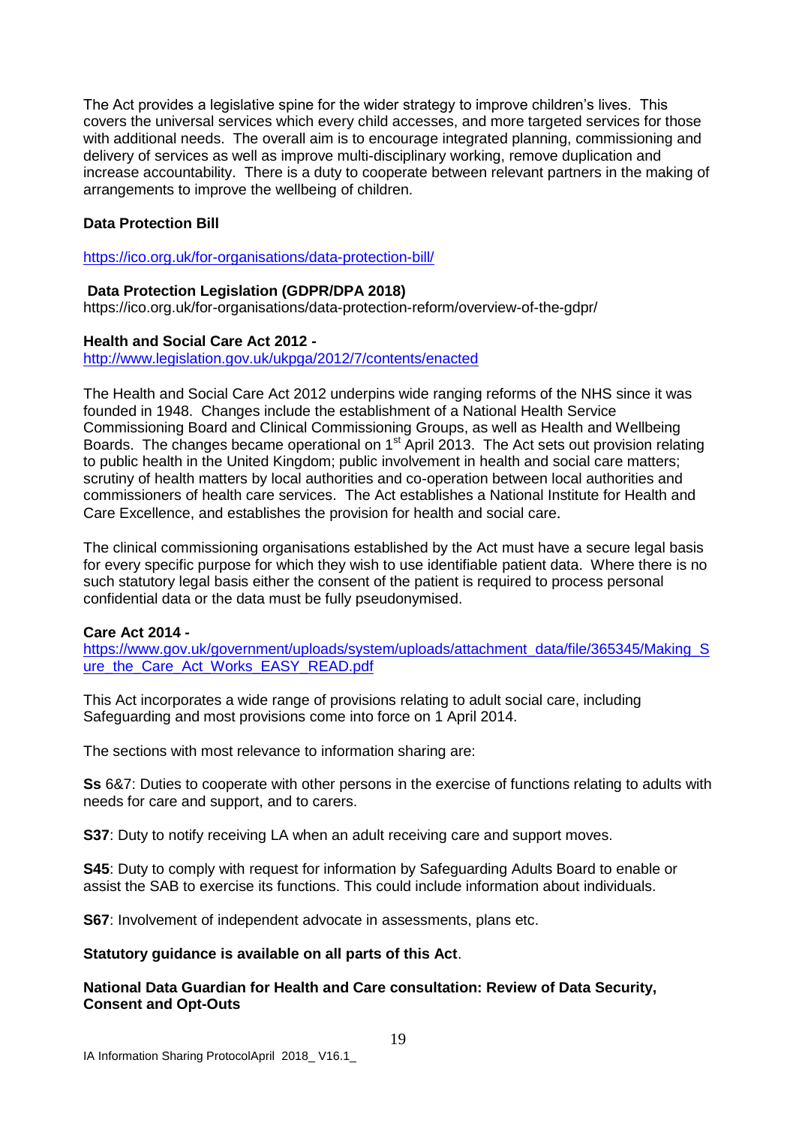The Act provides a legislative spine for the wider strategy to improve children's lives. This covers the universal services which every child accesses, and more targeted services for those with additional needs. The overall aim is to encourage integrated planning, commissioning and delivery of services as well as improve multi-disciplinary working, remove duplication and increase accountability. There is a duty to cooperate between relevant partners in the making of arrangements to improve the wellbeing of children.

#### **Data Protection Bill**

<https://ico.org.uk/for-organisations/data-protection-bill/>

#### **Data Protection Legislation (GDPR/DPA 2018)**

https://ico.org.uk/for-organisations/data-protection-reform/overview-of-the-gdpr/

#### **Health and Social Care Act 2012 -**

<http://www.legislation.gov.uk/ukpga/2012/7/contents/enacted>

The Health and Social Care Act 2012 underpins wide ranging reforms of the NHS since it was founded in 1948. Changes include the establishment of a National Health Service Commissioning Board and Clinical Commissioning Groups, as well as Health and Wellbeing Boards. The changes became operational on  $1<sup>st</sup>$  April 2013. The Act sets out provision relating to public health in the United Kingdom; public involvement in health and social care matters; scrutiny of health matters by local authorities and co-operation between local authorities and commissioners of health care services. The Act establishes a National Institute for Health and Care Excellence, and establishes the provision for health and social care.

The clinical commissioning organisations established by the Act must have a secure legal basis for every specific purpose for which they wish to use identifiable patient data. Where there is no such statutory legal basis either the consent of the patient is required to process personal confidential data or the data must be fully pseudonymised.

#### **Care Act 2014 -**

[https://www.gov.uk/government/uploads/system/uploads/attachment\\_data/file/365345/Making\\_S](https://www.gov.uk/government/uploads/system/uploads/attachment_data/file/365345/Making_Sure_the_Care_Act_Works_EASY_READ.pdf) ure the Care Act Works EASY READ.pdf

This Act incorporates a wide range of provisions relating to adult social care, including Safeguarding and most provisions come into force on 1 April 2014.

The sections with most relevance to information sharing are:

**Ss** 6&7: Duties to cooperate with other persons in the exercise of functions relating to adults with needs for care and support, and to carers.

**S37**: Duty to notify receiving LA when an adult receiving care and support moves.

**S45**: Duty to comply with request for information by Safeguarding Adults Board to enable or assist the SAB to exercise its functions. This could include information about individuals.

**S67**: Involvement of independent advocate in assessments, plans etc.

#### **Statutory guidance is available on all parts of this Act**.

**National Data Guardian for Health and Care consultation: Review of Data Security, Consent and Opt-Outs**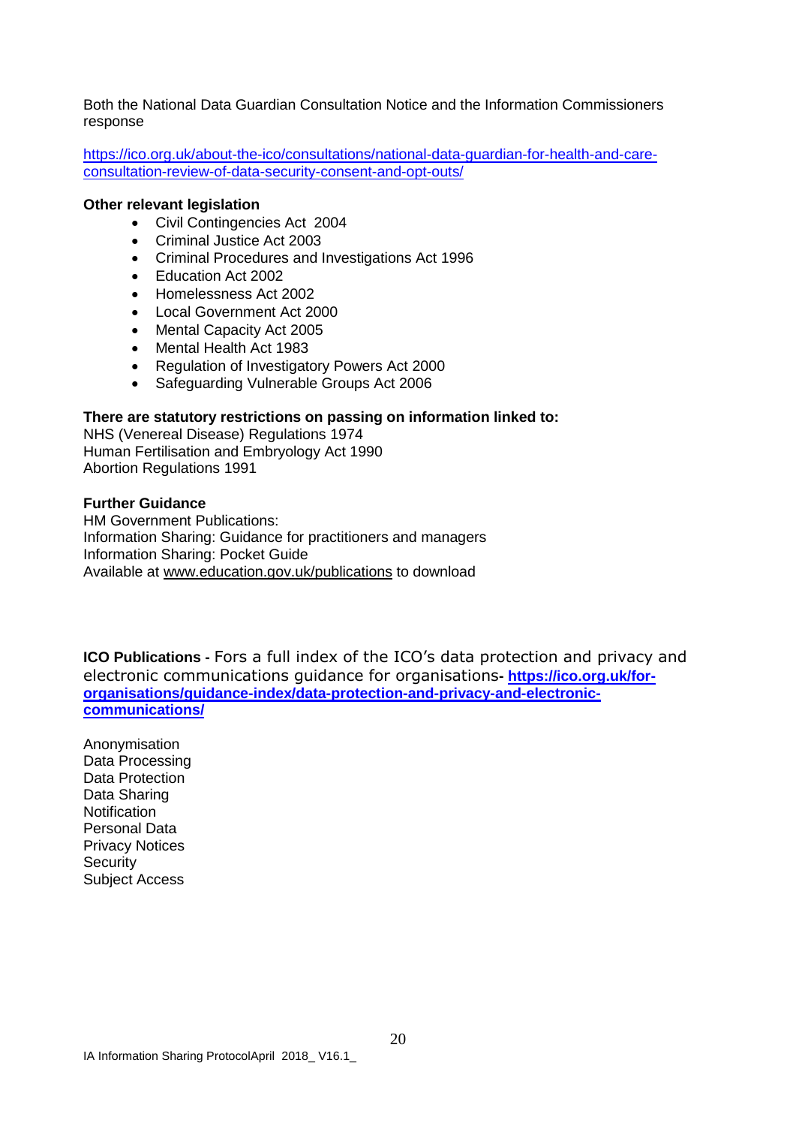Both the National Data Guardian Consultation Notice and the Information Commissioners response

[https://ico.org.uk/about-the-ico/consultations/national-data-guardian-for-health-and-care](https://ico.org.uk/about-the-ico/consultations/national-data-guardian-for-health-and-care-consultation-review-of-data-security-consent-and-opt-outs/)[consultation-review-of-data-security-consent-and-opt-outs/](https://ico.org.uk/about-the-ico/consultations/national-data-guardian-for-health-and-care-consultation-review-of-data-security-consent-and-opt-outs/)

#### **Other relevant legislation**

- Civil Contingencies Act 2004
- Criminal Justice Act 2003
- Criminal Procedures and Investigations Act 1996
- Education Act 2002
- Homelessness Act 2002
- Local Government Act 2000
- Mental Capacity Act 2005
- Mental Health Act 1983
- Regulation of Investigatory Powers Act 2000
- Safeguarding Vulnerable Groups Act 2006

#### **There are statutory restrictions on passing on information linked to:**

NHS (Venereal Disease) Regulations 1974 Human Fertilisation and Embryology Act 1990 Abortion Regulations 1991

#### **Further Guidance**

HM Government Publications: Information Sharing: Guidance for practitioners and managers Information Sharing: Pocket Guide Available at [www.education.gov.uk/publications](http://www.teachernet.gov.uk/publications) to download

**ICO Publications -** Fors a full index of the ICO's data protection and privacy and electronic communications guidance for organisations**- [https://ico.org.uk/for](https://ico.org.uk/for-organisations/guidance-index/data-protection-and-privacy-and-electronic-communications/)[organisations/guidance-index/data-protection-and-privacy-and-electronic](https://ico.org.uk/for-organisations/guidance-index/data-protection-and-privacy-and-electronic-communications/)[communications/](https://ico.org.uk/for-organisations/guidance-index/data-protection-and-privacy-and-electronic-communications/)**

Anonymisation Data Processing Data Protection Data Sharing **Notification** Personal Data Privacy Notices **Security** Subject Access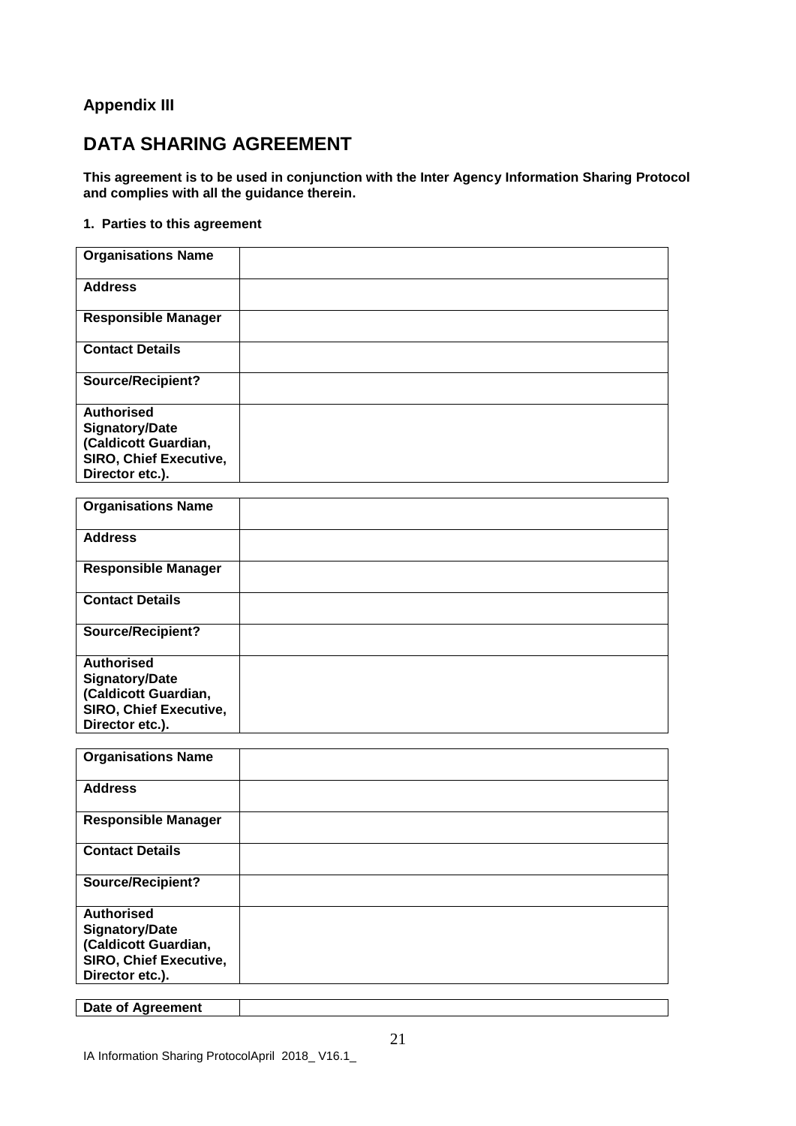#### **Appendix III**

## **DATA SHARING AGREEMENT**

**This agreement is to be used in conjunction with the Inter Agency Information Sharing Protocol and complies with all the guidance therein.**

#### **1. Parties to this agreement**

| <b>Organisations Name</b>     |  |
|-------------------------------|--|
| <b>Address</b>                |  |
| <b>Responsible Manager</b>    |  |
| <b>Contact Details</b>        |  |
| <b>Source/Recipient?</b>      |  |
| <b>Authorised</b>             |  |
| <b>Signatory/Date</b>         |  |
| (Caldicott Guardian,          |  |
| <b>SIRO, Chief Executive,</b> |  |
| Director etc.).               |  |

| <b>Organisations Name</b>     |  |
|-------------------------------|--|
| <b>Address</b>                |  |
| <b>Responsible Manager</b>    |  |
| <b>Contact Details</b>        |  |
| <b>Source/Recipient?</b>      |  |
| <b>Authorised</b>             |  |
| <b>Signatory/Date</b>         |  |
| (Caldicott Guardian,          |  |
| <b>SIRO, Chief Executive,</b> |  |
| Director etc.).               |  |

| <b>Organisations Name</b>     |  |
|-------------------------------|--|
| <b>Address</b>                |  |
| <b>Responsible Manager</b>    |  |
| <b>Contact Details</b>        |  |
| <b>Source/Recipient?</b>      |  |
| <b>Authorised</b>             |  |
| <b>Signatory/Date</b>         |  |
| (Caldicott Guardian,          |  |
| <b>SIRO, Chief Executive,</b> |  |
| Director etc.).               |  |

**Date of Agreement**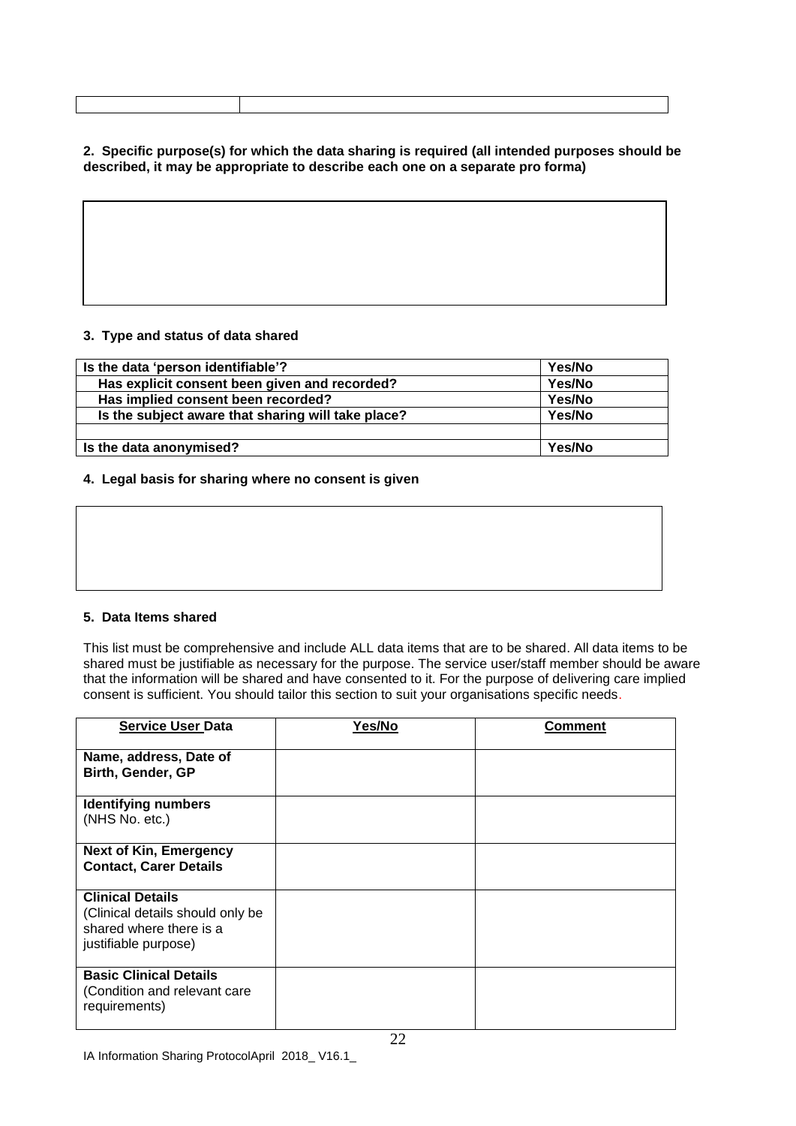| 2. Specific purpose(s) for which the data sharing is required (all intended purposes should be |
|------------------------------------------------------------------------------------------------|
| described, it may be appropriate to describe each one on a separate pro forma)                 |

#### **3. Type and status of data shared**

| Is the data 'person identifiable'?                 | Yes/No |
|----------------------------------------------------|--------|
| Has explicit consent been given and recorded?      | Yes/No |
| Has implied consent been recorded?                 | Yes/No |
| Is the subject aware that sharing will take place? | Yes/No |
|                                                    |        |
| Is the data anonymised?                            | Yes/No |

#### **4. Legal basis for sharing where no consent is given**

#### **5. Data Items shared**

This list must be comprehensive and include ALL data items that are to be shared. All data items to be shared must be justifiable as necessary for the purpose. The service user/staff member should be aware that the information will be shared and have consented to it. For the purpose of delivering care implied consent is sufficient. You should tailor this section to suit your organisations specific needs.

| <b>Service User Data</b>                                                                                       | Yes/No | Comment |
|----------------------------------------------------------------------------------------------------------------|--------|---------|
| Name, address, Date of<br>Birth, Gender, GP                                                                    |        |         |
| <b>Identifying numbers</b><br>(NHS No. etc.)                                                                   |        |         |
| <b>Next of Kin, Emergency</b><br><b>Contact, Carer Details</b>                                                 |        |         |
| <b>Clinical Details</b><br>(Clinical details should only be<br>shared where there is a<br>justifiable purpose) |        |         |
| <b>Basic Clinical Details</b><br>(Condition and relevant care<br>requirements)                                 |        |         |

IA Information Sharing ProtocolApril 2018\_ V16.1\_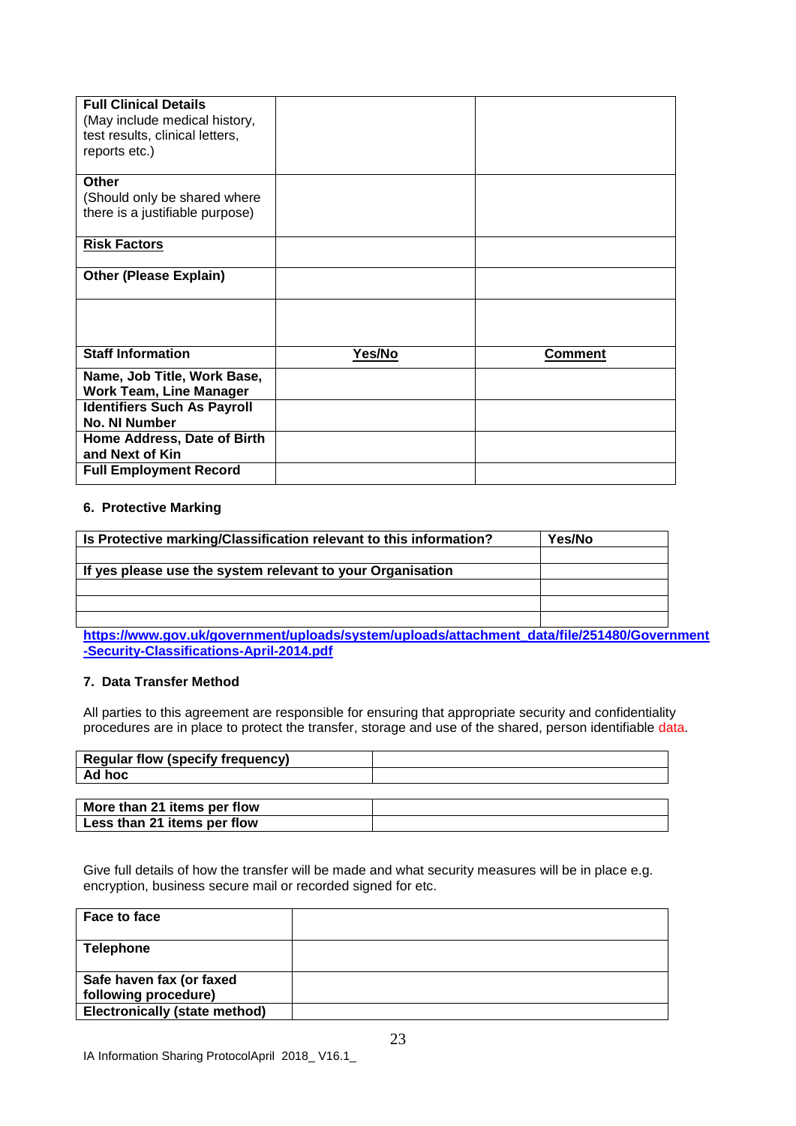| <b>Full Clinical Details</b>                                                      |        |                |
|-----------------------------------------------------------------------------------|--------|----------------|
| (May include medical history,<br>test results, clinical letters,<br>reports etc.) |        |                |
| Other                                                                             |        |                |
| (Should only be shared where                                                      |        |                |
| there is a justifiable purpose)                                                   |        |                |
| <b>Risk Factors</b>                                                               |        |                |
| <b>Other (Please Explain)</b>                                                     |        |                |
|                                                                                   |        |                |
| <b>Staff Information</b>                                                          | Yes/No | <b>Comment</b> |
| Name, Job Title, Work Base,                                                       |        |                |
| <b>Work Team, Line Manager</b>                                                    |        |                |
| <b>Identifiers Such As Payroll</b><br>No. NI Number                               |        |                |
| Home Address, Date of Birth                                                       |        |                |
| and Next of Kin                                                                   |        |                |
| <b>Full Employment Record</b>                                                     |        |                |

#### **6. Protective Marking**

| Is Protective marking/Classification relevant to this information? | Yes/No |
|--------------------------------------------------------------------|--------|
|                                                                    |        |
| If yes please use the system relevant to your Organisation         |        |
|                                                                    |        |
|                                                                    |        |
|                                                                    |        |

**[https://www.gov.uk/government/uploads/system/uploads/attachment\\_data/file/251480/Government](https://www.gov.uk/government/uploads/system/uploads/attachment_data/file/251480/Government-Security-Classifications-April-2014.pdf) [-Security-Classifications-April-2014.pdf](https://www.gov.uk/government/uploads/system/uploads/attachment_data/file/251480/Government-Security-Classifications-April-2014.pdf)**

#### **7. Data Transfer Method**

All parties to this agreement are responsible for ensuring that appropriate security and confidentiality procedures are in place to protect the transfer, storage and use of the shared, person identifiable data.

| <b>Regular flow (specify frequency)</b> |  |
|-----------------------------------------|--|
| Ad hoc                                  |  |
|                                         |  |
| More than 21 items per flow             |  |
| Less than 21 items per flow             |  |

Give full details of how the transfer will be made and what security measures will be in place e.g. encryption, business secure mail or recorded signed for etc.

| Face to face                  |  |
|-------------------------------|--|
| <b>Telephone</b>              |  |
| Safe haven fax (or faxed      |  |
| following procedure)          |  |
| Electronically (state method) |  |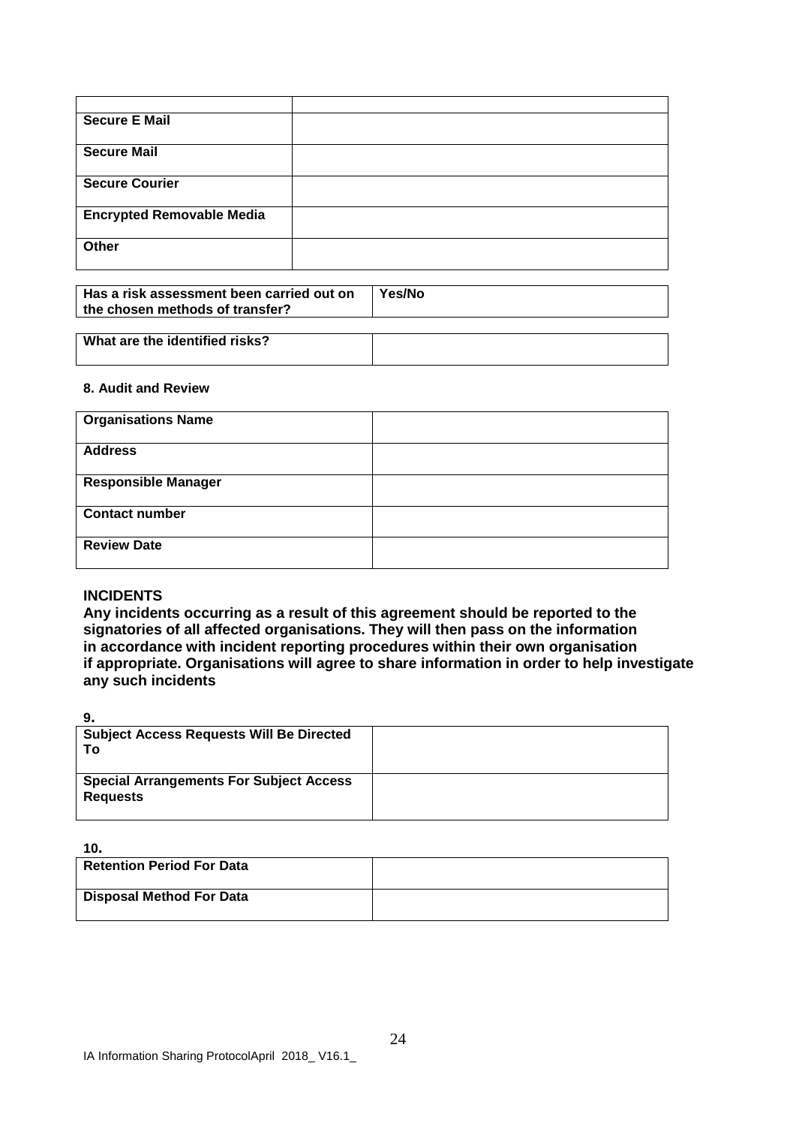| <b>Secure E Mail</b>             |  |
|----------------------------------|--|
| <b>Secure Mail</b>               |  |
| <b>Secure Courier</b>            |  |
| <b>Encrypted Removable Media</b> |  |
| Other                            |  |

| Has a risk assessment been carried out on<br>the chosen methods of transfer? | Yes/No |
|------------------------------------------------------------------------------|--------|
| .<br>_ _ _ _                                                                 |        |

# **What are the identified risks?**

#### **8. Audit and Review**

| <b>Organisations Name</b>  |  |
|----------------------------|--|
| <b>Address</b>             |  |
| <b>Responsible Manager</b> |  |
| <b>Contact number</b>      |  |
| <b>Review Date</b>         |  |

#### **INCIDENTS**

**Any incidents occurring as a result of this agreement should be reported to the signatories of all affected organisations. They will then pass on the information in accordance with incident reporting procedures within their own organisation if appropriate. Organisations will agree to share information in order to help investigate any such incidents**

**9.**

| . .                                                               |  |
|-------------------------------------------------------------------|--|
| <b>Subject Access Requests Will Be Directed</b><br>To.            |  |
| <b>Special Arrangements For Subject Access</b><br><b>Requests</b> |  |

**10.**

| .                                |  |
|----------------------------------|--|
| <b>Retention Period For Data</b> |  |
| Disposal Method For Data         |  |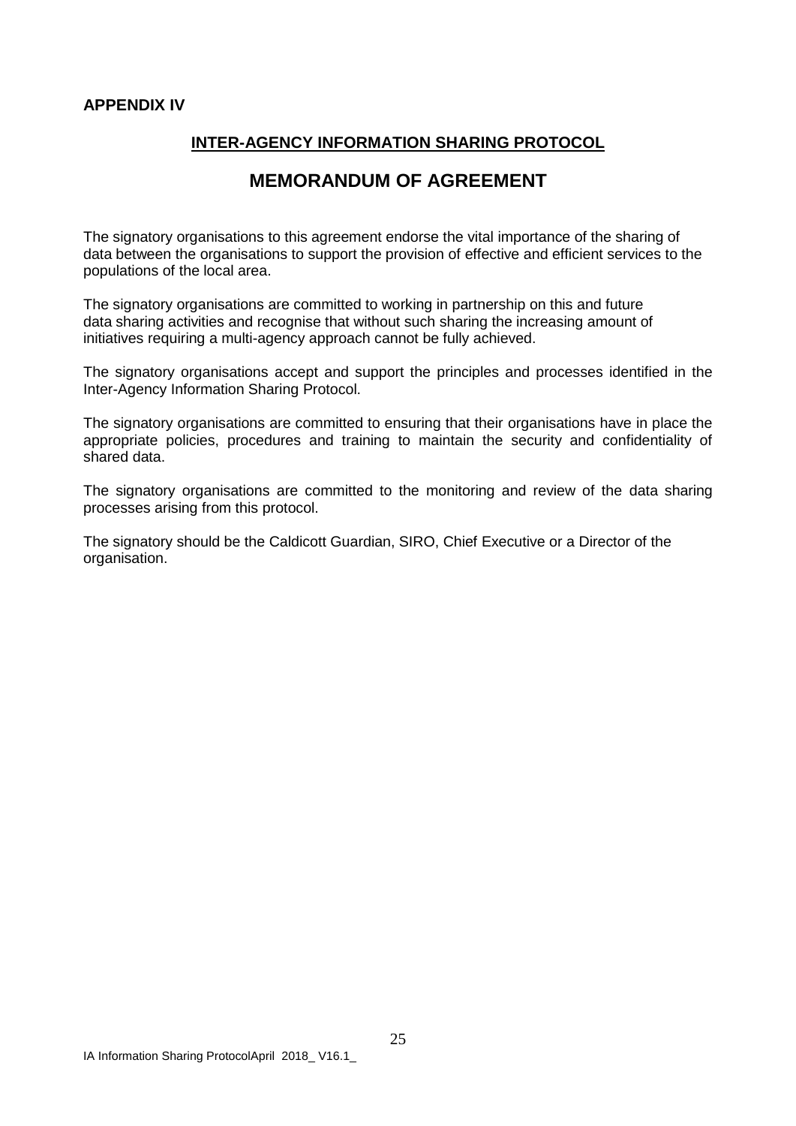#### **APPENDIX IV**

#### **INTER-AGENCY INFORMATION SHARING PROTOCOL**

### **MEMORANDUM OF AGREEMENT**

The signatory organisations to this agreement endorse the vital importance of the sharing of data between the organisations to support the provision of effective and efficient services to the populations of the local area.

The signatory organisations are committed to working in partnership on this and future data sharing activities and recognise that without such sharing the increasing amount of initiatives requiring a multi-agency approach cannot be fully achieved.

The signatory organisations accept and support the principles and processes identified in the Inter-Agency Information Sharing Protocol.

The signatory organisations are committed to ensuring that their organisations have in place the appropriate policies, procedures and training to maintain the security and confidentiality of shared data.

The signatory organisations are committed to the monitoring and review of the data sharing processes arising from this protocol.

The signatory should be the Caldicott Guardian, SIRO, Chief Executive or a Director of the organisation.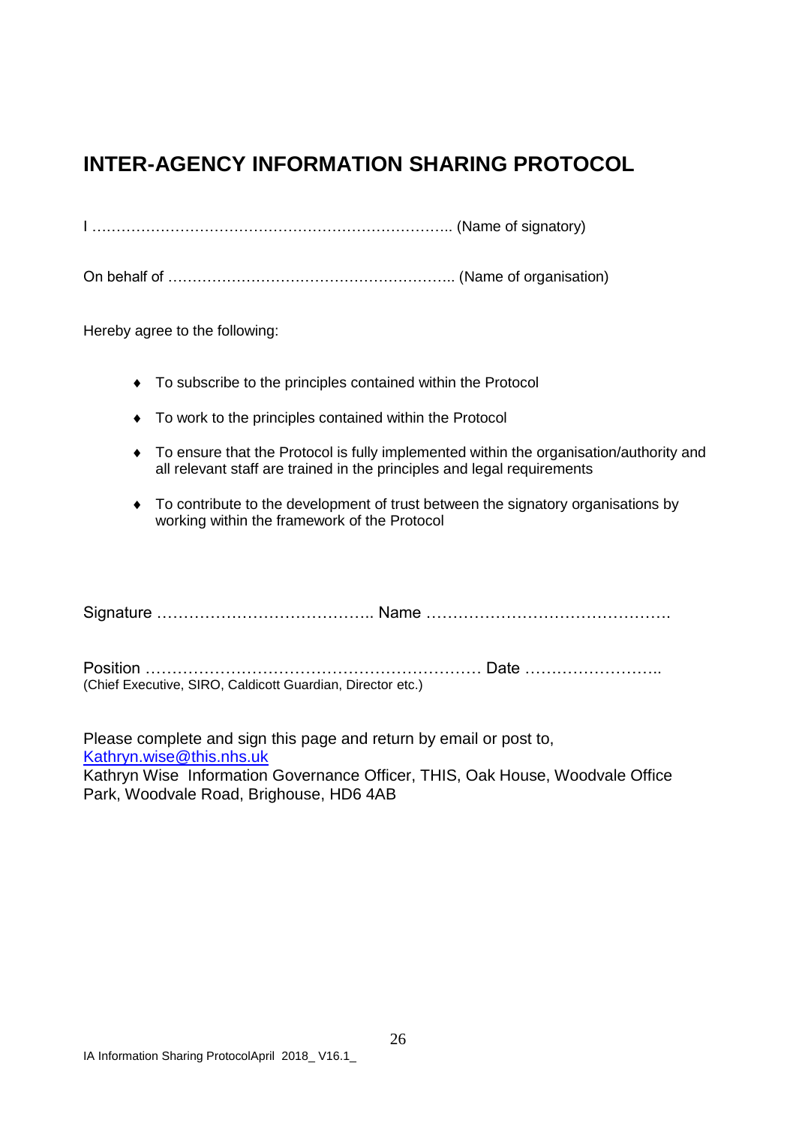## **INTER-AGENCY INFORMATION SHARING PROTOCOL**

I ……………………………………………………………….. (Name of signatory)

On behalf of ………………………………………………….. (Name of organisation)

Hereby agree to the following:

- To subscribe to the principles contained within the Protocol
- $\bullet$  To work to the principles contained within the Protocol
- To ensure that the Protocol is fully implemented within the organisation/authority and all relevant staff are trained in the principles and legal requirements
- To contribute to the development of trust between the signatory organisations by working within the framework of the Protocol

Signature ………………………………….. Name ……………………………………….

Position ……………………………………………………… Date …………………….. (Chief Executive, SIRO, Caldicott Guardian, Director etc.)

Please complete and sign this page and return by email or post to, [Kathryn.wise@this.nhs.uk](mailto:Kathryn.wise@this.nhs.uk) 

Kathryn Wise Information Governance Officer, THIS, Oak House, Woodvale Office Park, Woodvale Road, Brighouse, HD6 4AB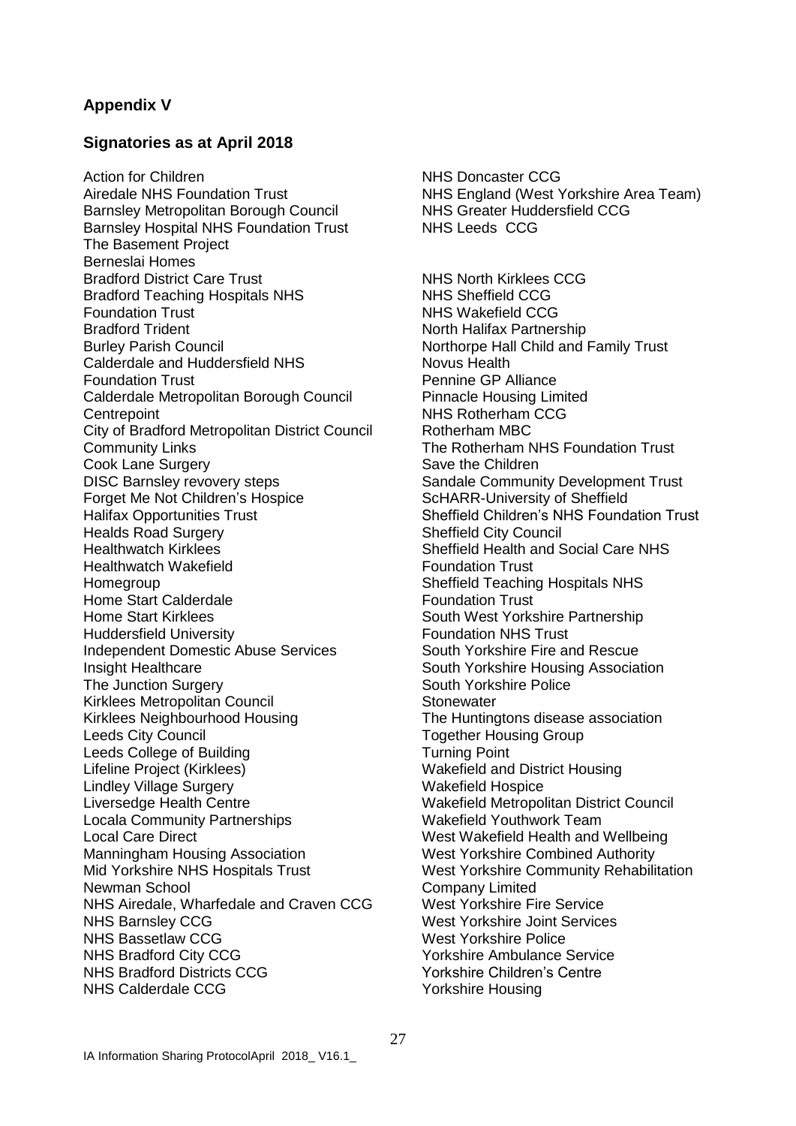#### **Appendix V**

#### **Signatories as at April 2018**

Action for Children Airedale NHS Foundation Trust Barnsley Metropolitan Borough Council Barnsley Hospital NHS Foundation Trust The Basement Project Berneslai Homes Bradford District Care Trust Bradford Teaching Hospitals NHS Foundation Trust Bradford Trident Burley Parish Council Calderdale and Huddersfield NHS Foundation Trust Calderdale Metropolitan Borough Council **Centrepoint** City of Bradford Metropolitan District Council Community Links Cook Lane Surgery DISC Barnsley revovery steps Forget Me Not Children's Hospice Halifax Opportunities Trust Healds Road Surgery Healthwatch Kirklees Healthwatch Wakefield Homegroup Home Start Calderdale Home Start Kirklees Huddersfield University Independent Domestic Abuse Services Insight Healthcare The Junction Surgery Kirklees Metropolitan Council Kirklees Neighbourhood Housing Leeds City Council Leeds College of Building Lifeline Project (Kirklees) Lindley Village Surgery Liversedge Health Centre Locala Community Partnerships Local Care Direct Manningham Housing Association Mid Yorkshire NHS Hospitals Trust Newman School NHS Airedale, Wharfedale and Craven CCG NHS Barnsley CCG NHS Bassetlaw CCG NHS Bradford City CCG NHS Bradford Districts CCG NHS Calderdale CCG

NHS Doncaster CCG NHS England (West Yorkshire Area Team) NHS Greater Huddersfield CCG NHS Leeds CCG

NHS North Kirklees CCG NHS Sheffield CCG NHS Wakefield CCG North Halifax Partnership Northorpe Hall Child and Family Trust Novus Health Pennine GP Alliance Pinnacle Housing Limited NHS Rotherham CCG Rotherham MBC The Rotherham NHS Foundation Trust Save the Children Sandale Community Development Trust ScHARR-University of Sheffield Sheffield Children's NHS Foundation Trust Sheffield City Council Sheffield Health and Social Care NHS Foundation Trust Sheffield Teaching Hospitals NHS Foundation Trust South West Yorkshire Partnership Foundation NHS Trust South Yorkshire Fire and Rescue South Yorkshire Housing Association South Yorkshire Police **Stonewater** The Huntingtons disease association Together Housing Group Turning Point Wakefield and District Housing Wakefield Hospice Wakefield Metropolitan District Council Wakefield Youthwork Team West Wakefield Health and Wellbeing West Yorkshire Combined Authority West Yorkshire Community Rehabilitation Company Limited West Yorkshire Fire Service West Yorkshire Joint Services West Yorkshire Police Yorkshire Ambulance Service Yorkshire Children's Centre Yorkshire Housing